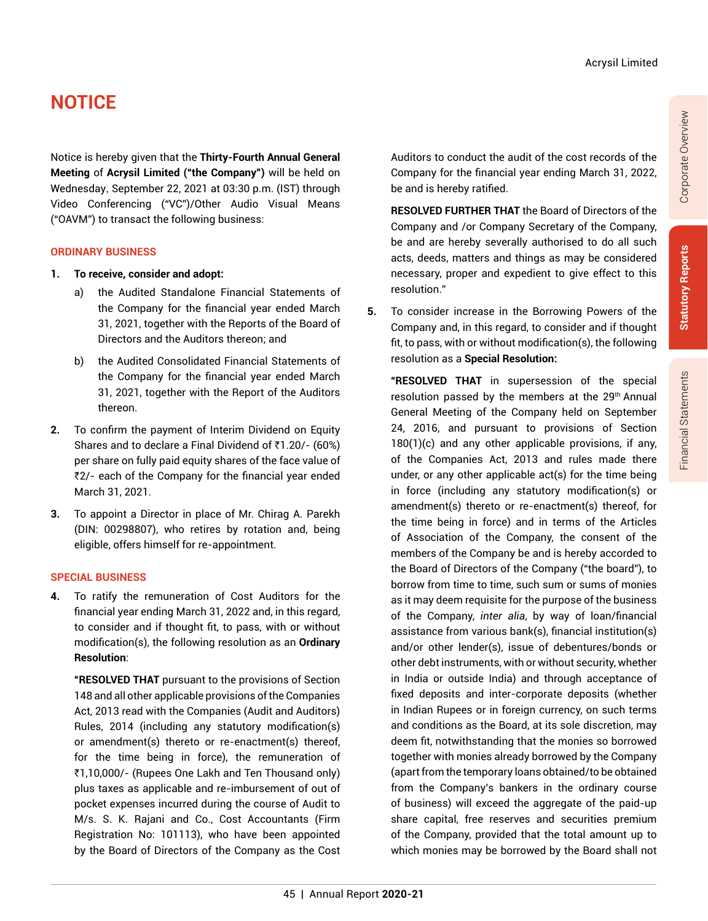# **NOTICE**

Notice is hereby given that the **Thirty-Fourth Annual General Meeting** of **Acrysil Limited ("the Company")** will be held on Wednesday, September 22, 2021 at 03:30 p.m. (IST) through Video Conferencing ("VC")/Other Audio Visual Means ("OAVM") to transact the following business:

#### **ORDINARY BUSINESS**

- **1. To receive, consider and adopt:**
	- a) the Audited Standalone Financial Statements of the Company for the financial year ended March 31, 2021, together with the Reports of the Board of Directors and the Auditors thereon; and
	- b) the Audited Consolidated Financial Statements of the Company for the financial year ended March 31, 2021, together with the Report of the Auditors thereon.
- **2.** To confirm the payment of Interim Dividend on Equity Shares and to declare a Final Dividend of  $\bar{z}$ 1.20/- (60%) per share on fully paid equity shares of the face value of ₹2/- each of the Company for the financial year ended March 31, 2021.
- **3.** To appoint a Director in place of Mr. Chirag A. Parekh (DIN: 00298807), who retires by rotation and, being eligible, offers himself for re-appointment.

#### **SPECIAL BUSINESS**

**4.** To ratify the remuneration of Cost Auditors for the financial year ending March 31, 2022 and, in this regard, to consider and if thought fit, to pass, with or without modification(s), the following resolution as an **Ordinary Resolution**:

**"RESOLVED THAT** pursuant to the provisions of Section 148 and all other applicable provisions of the Companies Act, 2013 read with the Companies (Audit and Auditors) Rules, 2014 (including any statutory modification(s) or amendment(s) thereto or re-enactment(s) thereof, for the time being in force), the remuneration of `1,10,000/- (Rupees One Lakh and Ten Thousand only) plus taxes as applicable and re-imbursement of out of pocket expenses incurred during the course of Audit to M/s. S. K. Rajani and Co., Cost Accountants (Firm Registration No: 101113), who have been appointed by the Board of Directors of the Company as the Cost Auditors to conduct the audit of the cost records of the Company for the financial year ending March 31, 2022, be and is hereby ratified.

**RESOLVED FURTHER THAT** the Board of Directors of the Company and /or Company Secretary of the Company, be and are hereby severally authorised to do all such acts, deeds, matters and things as may be considered necessary, proper and expedient to give effect to this resolution."

**5.** To consider increase in the Borrowing Powers of the Company and, in this regard, to consider and if thought fit, to pass, with or without modification(s), the following resolution as a **Special Resolution:**

**"RESOLVED THAT** in supersession of the special resolution passed by the members at the 29<sup>th</sup> Annual General Meeting of the Company held on September 24, 2016, and pursuant to provisions of Section 180(1)(c) and any other applicable provisions, if any, of the Companies Act, 2013 and rules made there under, or any other applicable act(s) for the time being in force (including any statutory modification(s) or amendment(s) thereto or re-enactment(s) thereof, for the time being in force) and in terms of the Articles of Association of the Company, the consent of the members of the Company be and is hereby accorded to the Board of Directors of the Company ("the board"), to borrow from time to time, such sum or sums of monies as it may deem requisite for the purpose of the business of the Company, *inter alia*, by way of loan/financial assistance from various bank(s), financial institution(s) and/or other lender(s), issue of debentures/bonds or other debt instruments, with or without security, whether in India or outside India) and through acceptance of fixed deposits and inter-corporate deposits (whether in Indian Rupees or in foreign currency, on such terms and conditions as the Board, at its sole discretion, may deem fit, notwithstanding that the monies so borrowed together with monies already borrowed by the Company (apart from the temporary loans obtained/to be obtained from the Company's bankers in the ordinary course of business) will exceed the aggregate of the paid-up share capital, free reserves and securities premium of the Company, provided that the total amount up to which monies may be borrowed by the Board shall not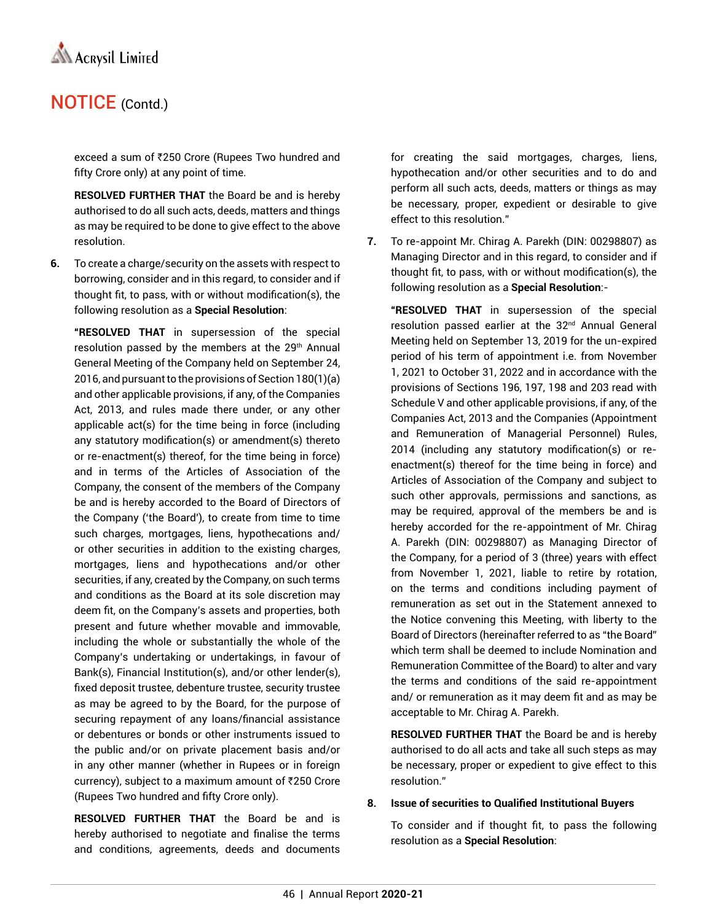

exceed a sum of ₹250 Crore (Rupees Two hundred and fifty Crore only) at any point of time.

**RESOLVED FURTHER THAT** the Board be and is hereby authorised to do all such acts, deeds, matters and things as may be required to be done to give effect to the above resolution.

**6.** To create a charge/security on the assets with respect to borrowing, consider and in this regard, to consider and if thought fit, to pass, with or without modification(s), the following resolution as a **Special Resolution**:

**"RESOLVED THAT** in supersession of the special resolution passed by the members at the 29<sup>th</sup> Annual General Meeting of the Company held on September 24, 2016, and pursuant to the provisions of Section 180(1)(a) and other applicable provisions, if any, of the Companies Act, 2013, and rules made there under, or any other applicable act(s) for the time being in force (including any statutory modification(s) or amendment(s) thereto or re-enactment(s) thereof, for the time being in force) and in terms of the Articles of Association of the Company, the consent of the members of the Company be and is hereby accorded to the Board of Directors of the Company ('the Board'), to create from time to time such charges, mortgages, liens, hypothecations and/ or other securities in addition to the existing charges, mortgages, liens and hypothecations and/or other securities, if any, created by the Company, on such terms and conditions as the Board at its sole discretion may deem fit, on the Company's assets and properties, both present and future whether movable and immovable, including the whole or substantially the whole of the Company's undertaking or undertakings, in favour of Bank(s), Financial Institution(s), and/or other lender(s), fixed deposit trustee, debenture trustee, security trustee as may be agreed to by the Board, for the purpose of securing repayment of any loans/financial assistance or debentures or bonds or other instruments issued to the public and/or on private placement basis and/or in any other manner (whether in Rupees or in foreign currency), subject to a maximum amount of ₹250 Crore (Rupees Two hundred and fifty Crore only).

**RESOLVED FURTHER THAT** the Board be and is hereby authorised to negotiate and finalise the terms and conditions, agreements, deeds and documents for creating the said mortgages, charges, liens, hypothecation and/or other securities and to do and perform all such acts, deeds, matters or things as may be necessary, proper, expedient or desirable to give effect to this resolution."

**7.** To re-appoint Mr. Chirag A. Parekh (DIN: 00298807) as Managing Director and in this regard, to consider and if thought fit, to pass, with or without modification(s), the following resolution as a **Special Resolution**:-

**"RESOLVED THAT** in supersession of the special resolution passed earlier at the 32<sup>nd</sup> Annual General Meeting held on September 13, 2019 for the un-expired period of his term of appointment i.e. from November 1, 2021 to October 31, 2022 and in accordance with the provisions of Sections 196, 197, 198 and 203 read with Schedule V and other applicable provisions, if any, of the Companies Act, 2013 and the Companies (Appointment and Remuneration of Managerial Personnel) Rules, 2014 (including any statutory modification(s) or reenactment(s) thereof for the time being in force) and Articles of Association of the Company and subject to such other approvals, permissions and sanctions, as may be required, approval of the members be and is hereby accorded for the re-appointment of Mr. Chirag A. Parekh (DIN: 00298807) as Managing Director of the Company, for a period of 3 (three) years with effect from November 1, 2021, liable to retire by rotation, on the terms and conditions including payment of remuneration as set out in the Statement annexed to the Notice convening this Meeting, with liberty to the Board of Directors (hereinafter referred to as "the Board" which term shall be deemed to include Nomination and Remuneration Committee of the Board) to alter and vary the terms and conditions of the said re-appointment and/ or remuneration as it may deem fit and as may be acceptable to Mr. Chirag A. Parekh.

**RESOLVED FURTHER THAT** the Board be and is hereby authorised to do all acts and take all such steps as may be necessary, proper or expedient to give effect to this resolution."

#### **8. Issue of securities to Qualified Institutional Buyers**

To consider and if thought fit, to pass the following resolution as a **Special Resolution**: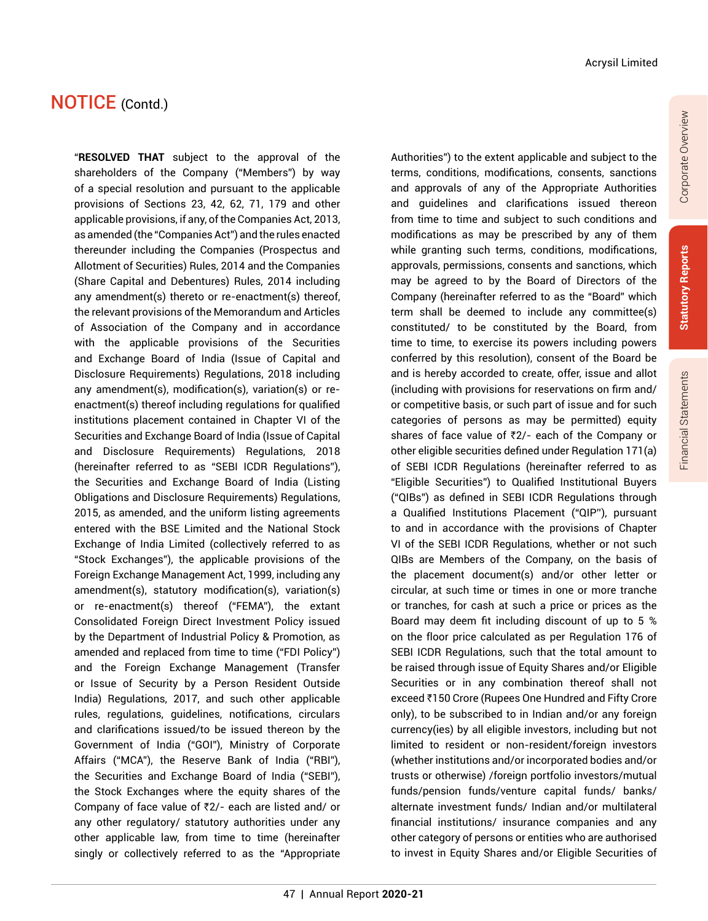"**RESOLVED THAT** subject to the approval of the shareholders of the Company ("Members") by way of a special resolution and pursuant to the applicable provisions of Sections 23, 42, 62, 71, 179 and other applicable provisions, if any, of the Companies Act, 2013, as amended (the "Companies Act") and the rules enacted thereunder including the Companies (Prospectus and Allotment of Securities) Rules, 2014 and the Companies (Share Capital and Debentures) Rules, 2014 including any amendment(s) thereto or re-enactment(s) thereof, the relevant provisions of the Memorandum and Articles of Association of the Company and in accordance with the applicable provisions of the Securities and Exchange Board of India (Issue of Capital and Disclosure Requirements) Regulations, 2018 including any amendment(s), modification(s), variation(s) or reenactment(s) thereof including regulations for qualified institutions placement contained in Chapter VI of the Securities and Exchange Board of India (Issue of Capital and Disclosure Requirements) Regulations, 2018 (hereinafter referred to as "SEBI ICDR Regulations"), the Securities and Exchange Board of India (Listing Obligations and Disclosure Requirements) Regulations, 2015, as amended, and the uniform listing agreements entered with the BSE Limited and the National Stock Exchange of India Limited (collectively referred to as "Stock Exchanges"), the applicable provisions of the Foreign Exchange Management Act, 1999, including any amendment(s), statutory modification(s), variation(s) or re-enactment(s) thereof ("FEMA"), the extant Consolidated Foreign Direct Investment Policy issued by the Department of Industrial Policy & Promotion, as amended and replaced from time to time ("FDI Policy") and the Foreign Exchange Management (Transfer or Issue of Security by a Person Resident Outside India) Regulations, 2017, and such other applicable rules, regulations, guidelines, notifications, circulars and clarifications issued/to be issued thereon by the Government of India ("GOI"), Ministry of Corporate Affairs ("MCA"), the Reserve Bank of India ("RBI"), the Securities and Exchange Board of India ("SEBI"), the Stock Exchanges where the equity shares of the Company of face value of  $Z/-$  each are listed and/ or any other regulatory/ statutory authorities under any other applicable law, from time to time (hereinafter singly or collectively referred to as the "Appropriate

terms, conditions, modifications, consents, sanctions and approvals of any of the Appropriate Authorities and guidelines and clarifications issued thereon from time to time and subject to such conditions and modifications as may be prescribed by any of them while granting such terms, conditions, modifications, approvals, permissions, consents and sanctions, which may be agreed to by the Board of Directors of the Company (hereinafter referred to as the "Board" which term shall be deemed to include any committee(s) constituted/ to be constituted by the Board, from time to time, to exercise its powers including powers conferred by this resolution), consent of the Board be and is hereby accorded to create, offer, issue and allot (including with provisions for reservations on firm and/ or competitive basis, or such part of issue and for such categories of persons as may be permitted) equity shares of face value of  $\overline{z}2/-$  each of the Company or other eligible securities defined under Regulation 171(a) of SEBI ICDR Regulations (hereinafter referred to as "Eligible Securities") to Qualified Institutional Buyers ("QIBs") as defined in SEBI ICDR Regulations through a Qualified Institutions Placement ("QIP''), pursuant to and in accordance with the provisions of Chapter VI of the SEBI ICDR Regulations, whether or not such QIBs are Members of the Company, on the basis of the placement document(s) and/or other letter or circular, at such time or times in one or more tranche or tranches, for cash at such a price or prices as the Board may deem fit including discount of up to 5 % on the floor price calculated as per Regulation 176 of SEBI ICDR Regulations, such that the total amount to be raised through issue of Equity Shares and/or Eligible Securities or in any combination thereof shall not exceed ₹150 Crore (Rupees One Hundred and Fifty Crore only), to be subscribed to in Indian and/or any foreign currency(ies) by all eligible investors, including but not limited to resident or non-resident/foreign investors (whether institutions and/or incorporated bodies and/or trusts or otherwise) /foreign portfolio investors/mutual funds/pension funds/venture capital funds/ banks/ alternate investment funds/ Indian and/or multilateral financial institutions/ insurance companies and any other category of persons or entities who are authorised to invest in Equity Shares and/or Eligible Securities of

Authorities") to the extent applicable and subject to the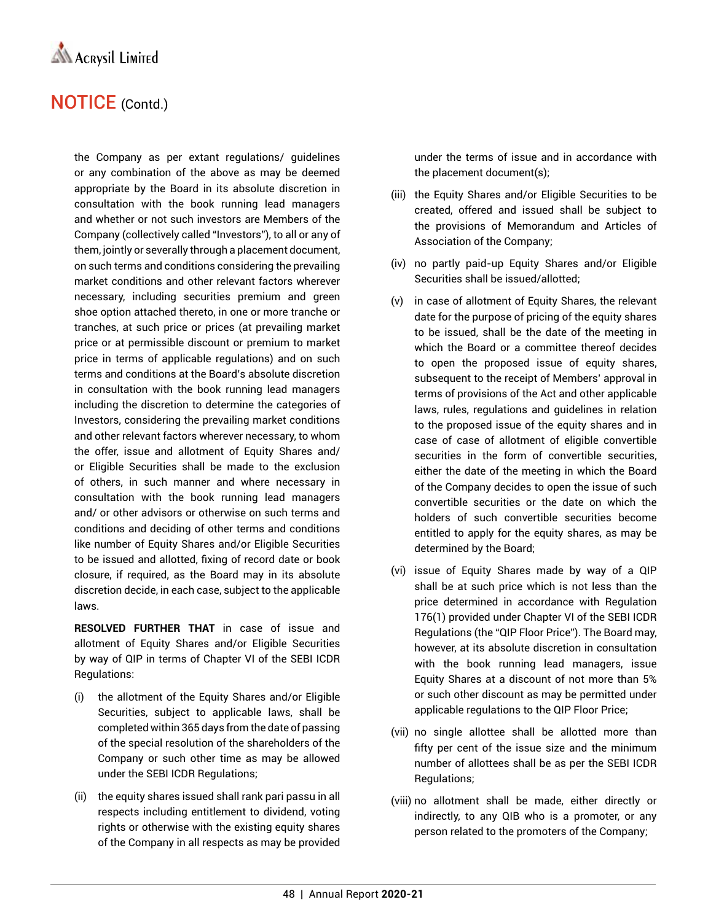

the Company as per extant regulations/ guidelines or any combination of the above as may be deemed appropriate by the Board in its absolute discretion in consultation with the book running lead managers and whether or not such investors are Members of the Company (collectively called "Investors"), to all or any of them, jointly or severally through a placement document, on such terms and conditions considering the prevailing market conditions and other relevant factors wherever necessary, including securities premium and green shoe option attached thereto, in one or more tranche or tranches, at such price or prices (at prevailing market price or at permissible discount or premium to market price in terms of applicable regulations) and on such terms and conditions at the Board's absolute discretion in consultation with the book running lead managers including the discretion to determine the categories of Investors, considering the prevailing market conditions and other relevant factors wherever necessary, to whom the offer, issue and allotment of Equity Shares and/ or Eligible Securities shall be made to the exclusion of others, in such manner and where necessary in consultation with the book running lead managers and/ or other advisors or otherwise on such terms and conditions and deciding of other terms and conditions like number of Equity Shares and/or Eligible Securities to be issued and allotted, fixing of record date or book closure, if required, as the Board may in its absolute discretion decide, in each case, subject to the applicable laws.

**RESOLVED FURTHER THAT** in case of issue and allotment of Equity Shares and/or Eligible Securities by way of QIP in terms of Chapter VI of the SEBI ICDR Regulations:

- (i) the allotment of the Equity Shares and/or Eligible Securities, subject to applicable laws, shall be completed within 365 days from the date of passing of the special resolution of the shareholders of the Company or such other time as may be allowed under the SEBI ICDR Regulations;
- (ii) the equity shares issued shall rank pari passu in all respects including entitlement to dividend, voting rights or otherwise with the existing equity shares of the Company in all respects as may be provided

under the terms of issue and in accordance with the placement document(s);

- (iii) the Equity Shares and/or Eligible Securities to be created, offered and issued shall be subject to the provisions of Memorandum and Articles of Association of the Company;
- (iv) no partly paid-up Equity Shares and/or Eligible Securities shall be issued/allotted;
- (v) in case of allotment of Equity Shares, the relevant date for the purpose of pricing of the equity shares to be issued, shall be the date of the meeting in which the Board or a committee thereof decides to open the proposed issue of equity shares, subsequent to the receipt of Members' approval in terms of provisions of the Act and other applicable laws, rules, regulations and guidelines in relation to the proposed issue of the equity shares and in case of case of allotment of eligible convertible securities in the form of convertible securities, either the date of the meeting in which the Board of the Company decides to open the issue of such convertible securities or the date on which the holders of such convertible securities become entitled to apply for the equity shares, as may be determined by the Board;
- (vi) issue of Equity Shares made by way of a QIP shall be at such price which is not less than the price determined in accordance with Regulation 176(1) provided under Chapter VI of the SEBI ICDR Regulations (the "QIP Floor Price"). The Board may, however, at its absolute discretion in consultation with the book running lead managers, issue Equity Shares at a discount of not more than 5% or such other discount as may be permitted under applicable regulations to the QIP Floor Price;
- (vii) no single allottee shall be allotted more than fifty per cent of the issue size and the minimum number of allottees shall be as per the SEBI ICDR Regulations;
- (viii) no allotment shall be made, either directly or indirectly, to any QIB who is a promoter, or any person related to the promoters of the Company;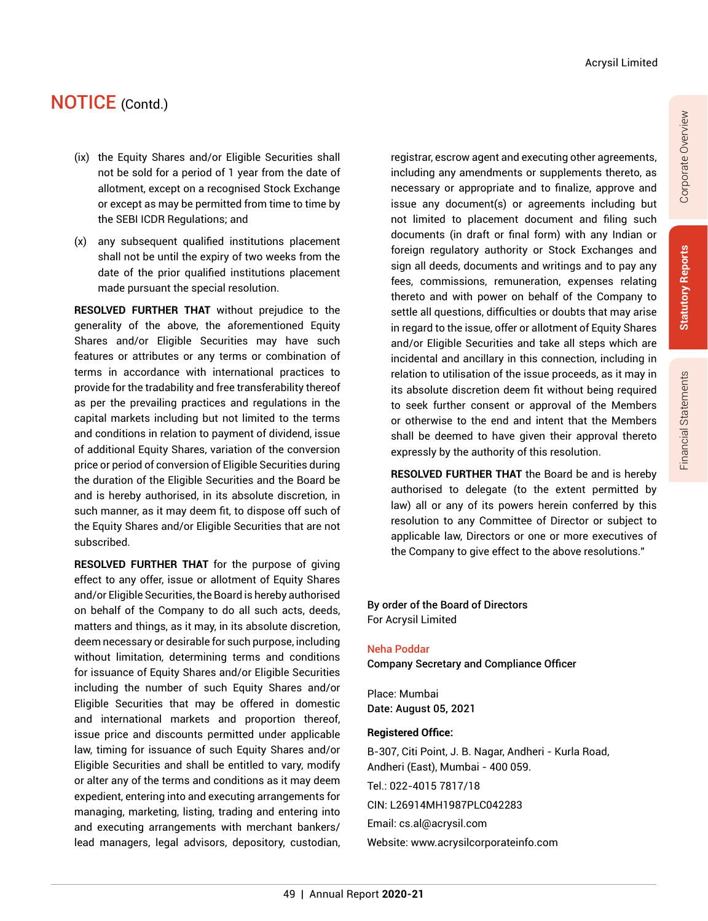- (ix) the Equity Shares and/or Eligible Securities shall not be sold for a period of 1 year from the date of allotment, except on a recognised Stock Exchange or except as may be permitted from time to time by the SEBI ICDR Regulations; and
- (x) any subsequent qualified institutions placement shall not be until the expiry of two weeks from the date of the prior qualified institutions placement made pursuant the special resolution.

**RESOLVED FURTHER THAT** without prejudice to the generality of the above, the aforementioned Equity Shares and/or Eligible Securities may have such features or attributes or any terms or combination of terms in accordance with international practices to provide for the tradability and free transferability thereof as per the prevailing practices and regulations in the capital markets including but not limited to the terms and conditions in relation to payment of dividend, issue of additional Equity Shares, variation of the conversion price or period of conversion of Eligible Securities during the duration of the Eligible Securities and the Board be and is hereby authorised, in its absolute discretion, in such manner, as it may deem fit, to dispose off such of the Equity Shares and/or Eligible Securities that are not subscribed.

**RESOLVED FURTHER THAT** for the purpose of giving effect to any offer, issue or allotment of Equity Shares and/or Eligible Securities, the Board is hereby authorised on behalf of the Company to do all such acts, deeds, matters and things, as it may, in its absolute discretion, deem necessary or desirable for such purpose, including without limitation, determining terms and conditions for issuance of Equity Shares and/or Eligible Securities including the number of such Equity Shares and/or Eligible Securities that may be offered in domestic and international markets and proportion thereof, issue price and discounts permitted under applicable law, timing for issuance of such Equity Shares and/or Eligible Securities and shall be entitled to vary, modify or alter any of the terms and conditions as it may deem expedient, entering into and executing arrangements for managing, marketing, listing, trading and entering into and executing arrangements with merchant bankers/ lead managers, legal advisors, depository, custodian,

registrar, escrow agent and executing other agreements, including any amendments or supplements thereto, as necessary or appropriate and to finalize, approve and issue any document(s) or agreements including but not limited to placement document and filing such documents (in draft or final form) with any Indian or foreign regulatory authority or Stock Exchanges and sign all deeds, documents and writings and to pay any fees, commissions, remuneration, expenses relating thereto and with power on behalf of the Company to settle all questions, difficulties or doubts that may arise in regard to the issue, offer or allotment of Equity Shares and/or Eligible Securities and take all steps which are incidental and ancillary in this connection, including in relation to utilisation of the issue proceeds, as it may in its absolute discretion deem fit without being required to seek further consent or approval of the Members or otherwise to the end and intent that the Members shall be deemed to have given their approval thereto expressly by the authority of this resolution.

**RESOLVED FURTHER THAT** the Board be and is hereby authorised to delegate (to the extent permitted by law) all or any of its powers herein conferred by this resolution to any Committee of Director or subject to applicable law, Directors or one or more executives of the Company to give effect to the above resolutions."

#### By order of the Board of Directors For Acrysil Limited

Neha Poddar Company Secretary and Compliance Officer

Place: Mumbai Date: August 05, 2021

#### **Registered Office:**

B-307, Citi Point, J. B. Nagar, Andheri - Kurla Road, Andheri (East), Mumbai - 400 059. Tel.: 022-4015 7817/18 CIN: L26914MH1987PLC042283 Email: cs.al@acrysil.com

Website: www.acrysilcorporateinfo.com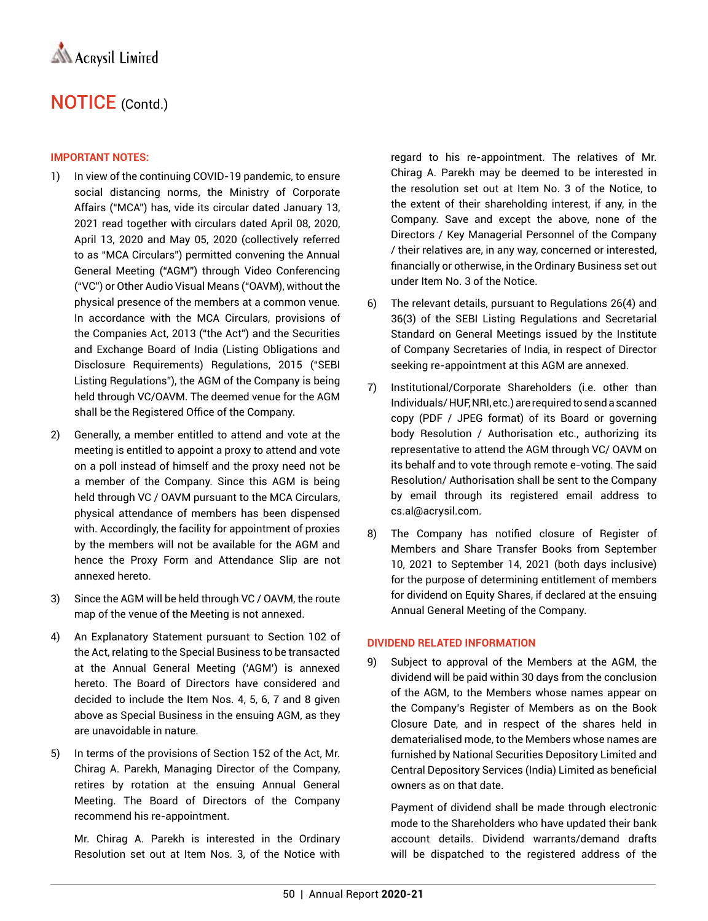#### **IMPORTANT NOTES:**

- 1) In view of the continuing COVID-19 pandemic, to ensure social distancing norms, the Ministry of Corporate Affairs ("MCA") has, vide its circular dated January 13, 2021 read together with circulars dated April 08, 2020, April 13, 2020 and May 05, 2020 (collectively referred to as "MCA Circulars") permitted convening the Annual General Meeting ("AGM") through Video Conferencing ("VC") or Other Audio Visual Means ("OAVM), without the physical presence of the members at a common venue. In accordance with the MCA Circulars, provisions of the Companies Act, 2013 ("the Act") and the Securities and Exchange Board of India (Listing Obligations and Disclosure Requirements) Regulations, 2015 ("SEBI Listing Regulations"), the AGM of the Company is being held through VC/OAVM. The deemed venue for the AGM shall be the Registered Office of the Company.
- 2) Generally, a member entitled to attend and vote at the meeting is entitled to appoint a proxy to attend and vote on a poll instead of himself and the proxy need not be a member of the Company. Since this AGM is being held through VC / OAVM pursuant to the MCA Circulars, physical attendance of members has been dispensed with. Accordingly, the facility for appointment of proxies by the members will not be available for the AGM and hence the Proxy Form and Attendance Slip are not annexed hereto.
- 3) Since the AGM will be held through VC / OAVM, the route map of the venue of the Meeting is not annexed.
- 4) An Explanatory Statement pursuant to Section 102 of the Act, relating to the Special Business to be transacted at the Annual General Meeting ('AGM') is annexed hereto. The Board of Directors have considered and decided to include the Item Nos. 4, 5, 6, 7 and 8 given above as Special Business in the ensuing AGM, as they are unavoidable in nature.
- 5) In terms of the provisions of Section 152 of the Act, Mr. Chirag A. Parekh, Managing Director of the Company, retires by rotation at the ensuing Annual General Meeting. The Board of Directors of the Company recommend his re-appointment.

Mr. Chirag A. Parekh is interested in the Ordinary Resolution set out at Item Nos. 3, of the Notice with regard to his re-appointment. The relatives of Mr. Chirag A. Parekh may be deemed to be interested in the resolution set out at Item No. 3 of the Notice, to the extent of their shareholding interest, if any, in the Company. Save and except the above, none of the Directors / Key Managerial Personnel of the Company / their relatives are, in any way, concerned or interested, financially or otherwise, in the Ordinary Business set out under Item No. 3 of the Notice.

- 6) The relevant details, pursuant to Regulations 26(4) and 36(3) of the SEBI Listing Regulations and Secretarial Standard on General Meetings issued by the Institute of Company Secretaries of India, in respect of Director seeking re-appointment at this AGM are annexed.
- 7) Institutional/Corporate Shareholders (i.e. other than Individuals/ HUF, NRI, etc.) are required to send a scanned copy (PDF / JPEG format) of its Board or governing body Resolution / Authorisation etc., authorizing its representative to attend the AGM through VC/ OAVM on its behalf and to vote through remote e-voting. The said Resolution/ Authorisation shall be sent to the Company by email through its registered email address to cs.al@acrysil.com.
- 8) The Company has notified closure of Register of Members and Share Transfer Books from September 10, 2021 to September 14, 2021 (both days inclusive) for the purpose of determining entitlement of members for dividend on Equity Shares, if declared at the ensuing Annual General Meeting of the Company.

#### **DIVIDEND RELATED INFORMATION**

9) Subject to approval of the Members at the AGM, the dividend will be paid within 30 days from the conclusion of the AGM, to the Members whose names appear on the Company's Register of Members as on the Book Closure Date, and in respect of the shares held in dematerialised mode, to the Members whose names are furnished by National Securities Depository Limited and Central Depository Services (India) Limited as beneficial owners as on that date.

Payment of dividend shall be made through electronic mode to the Shareholders who have updated their bank account details. Dividend warrants/demand drafts will be dispatched to the registered address of the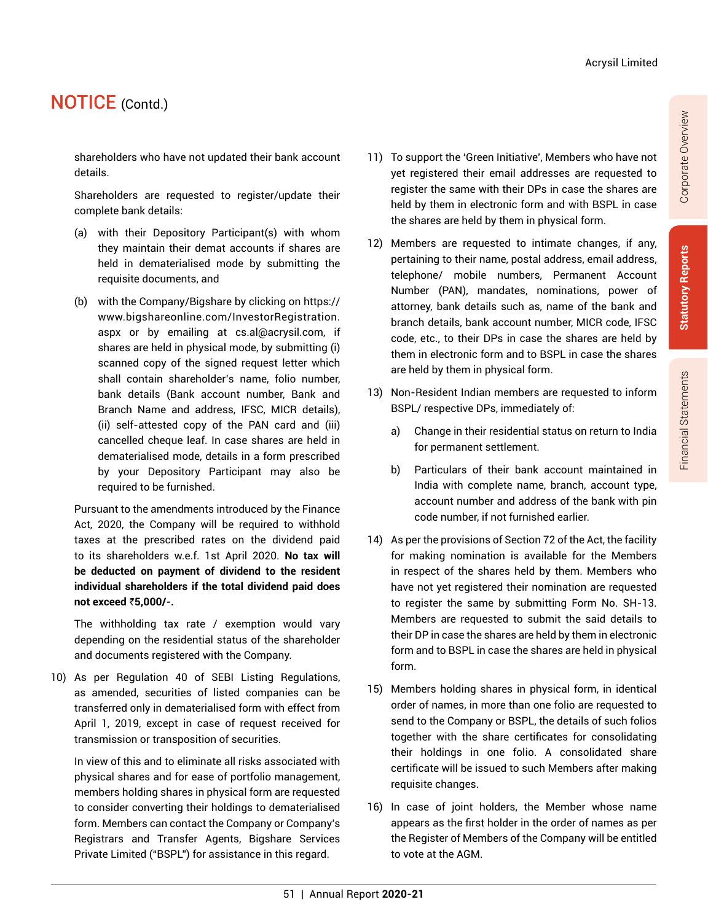shareholders who have not updated their bank account details.

Shareholders are requested to register/update their complete bank details:

- (a) with their Depository Participant(s) with whom they maintain their demat accounts if shares are held in dematerialised mode by submitting the requisite documents, and
- (b) with the Company/Bigshare by clicking on https:// www.bigshareonline.com/InvestorRegistration. aspx or by emailing at cs.al@acrysil.com, if shares are held in physical mode, by submitting (i) scanned copy of the signed request letter which shall contain shareholder's name, folio number, bank details (Bank account number, Bank and Branch Name and address, IFSC, MICR details), (ii) self-attested copy of the PAN card and (iii) cancelled cheque leaf. In case shares are held in dematerialised mode, details in a form prescribed by your Depository Participant may also be required to be furnished.

Pursuant to the amendments introduced by the Finance Act, 2020, the Company will be required to withhold taxes at the prescribed rates on the dividend paid to its shareholders w.e.f. 1st April 2020. **No tax will be deducted on payment of dividend to the resident individual shareholders if the total dividend paid does not exceed** `**5,000/-.**

The withholding tax rate / exemption would vary depending on the residential status of the shareholder and documents registered with the Company.

10) As per Regulation 40 of SEBI Listing Regulations, as amended, securities of listed companies can be transferred only in dematerialised form with effect from April 1, 2019, except in case of request received for transmission or transposition of securities.

In view of this and to eliminate all risks associated with physical shares and for ease of portfolio management, members holding shares in physical form are requested to consider converting their holdings to dematerialised form. Members can contact the Company or Company's Registrars and Transfer Agents, Bigshare Services Private Limited ("BSPL") for assistance in this regard.

- 11) To support the 'Green Initiative', Members who have not yet registered their email addresses are requested to register the same with their DPs in case the shares are held by them in electronic form and with BSPL in case the shares are held by them in physical form.
- 12) Members are requested to intimate changes, if any, pertaining to their name, postal address, email address, telephone/ mobile numbers, Permanent Account Number (PAN), mandates, nominations, power of attorney, bank details such as, name of the bank and branch details, bank account number, MICR code, IFSC code, etc., to their DPs in case the shares are held by them in electronic form and to BSPL in case the shares are held by them in physical form.
- 13) Non-Resident Indian members are requested to inform BSPL/ respective DPs, immediately of:
	- a) Change in their residential status on return to India for permanent settlement.
	- b) Particulars of their bank account maintained in India with complete name, branch, account type, account number and address of the bank with pin code number, if not furnished earlier.
- 14) As per the provisions of Section 72 of the Act, the facility for making nomination is available for the Members in respect of the shares held by them. Members who have not yet registered their nomination are requested to register the same by submitting Form No. SH-13. Members are requested to submit the said details to their DP in case the shares are held by them in electronic form and to BSPL in case the shares are held in physical form.
- 15) Members holding shares in physical form, in identical order of names, in more than one folio are requested to send to the Company or BSPL, the details of such folios together with the share certificates for consolidating their holdings in one folio. A consolidated share certificate will be issued to such Members after making requisite changes.
- 16) In case of joint holders, the Member whose name appears as the first holder in the order of names as per the Register of Members of the Company will be entitled to vote at the AGM.

Corporate Overview

Corporate Overview

**Statutory Reports**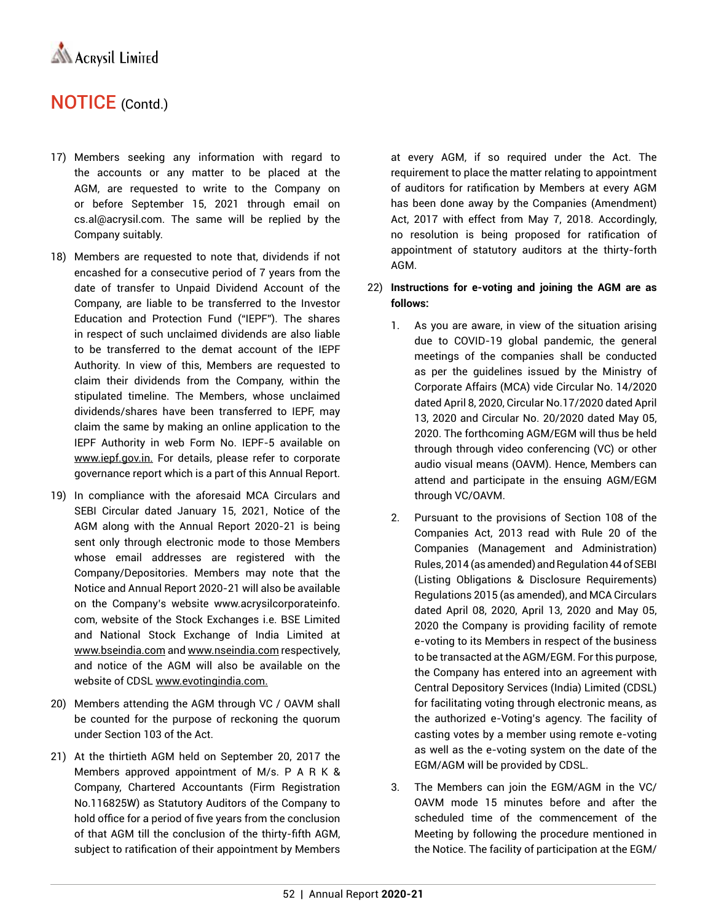

- 17) Members seeking any information with regard to the accounts or any matter to be placed at the AGM, are requested to write to the Company on or before September 15, 2021 through email on cs.al@acrysil.com. The same will be replied by the Company suitably.
- 18) Members are requested to note that, dividends if not encashed for a consecutive period of 7 years from the date of transfer to Unpaid Dividend Account of the Company, are liable to be transferred to the Investor Education and Protection Fund ("IEPF"). The shares in respect of such unclaimed dividends are also liable to be transferred to the demat account of the IEPF Authority. In view of this, Members are requested to claim their dividends from the Company, within the stipulated timeline. The Members, whose unclaimed dividends/shares have been transferred to IEPF, may claim the same by making an online application to the IEPF Authority in web Form No. IEPF-5 available on www.iepf.gov.in. For details, please refer to corporate governance report which is a part of this Annual Report.
- 19) In compliance with the aforesaid MCA Circulars and SEBI Circular dated January 15, 2021, Notice of the AGM along with the Annual Report 2020-21 is being sent only through electronic mode to those Members whose email addresses are registered with the Company/Depositories. Members may note that the Notice and Annual Report 2020-21 will also be available on the Company's website www.acrysilcorporateinfo. com, website of the Stock Exchanges i.e. BSE Limited and National Stock Exchange of India Limited at www.bseindia.com and www.nseindia.com respectively, and notice of the AGM will also be available on the website of CDSL www.evotingindia.com.
- 20) Members attending the AGM through VC / OAVM shall be counted for the purpose of reckoning the quorum under Section 103 of the Act.
- 21) At the thirtieth AGM held on September 20, 2017 the Members approved appointment of M/s. P A R K & Company, Chartered Accountants (Firm Registration No.116825W) as Statutory Auditors of the Company to hold office for a period of five years from the conclusion of that AGM till the conclusion of the thirty-fifth AGM, subject to ratification of their appointment by Members

at every AGM, if so required under the Act. The requirement to place the matter relating to appointment of auditors for ratification by Members at every AGM has been done away by the Companies (Amendment) Act, 2017 with effect from May 7, 2018. Accordingly, no resolution is being proposed for ratification of appointment of statutory auditors at the thirty-forth AGM.

#### 22) **Instructions for e-voting and joining the AGM are as follows:**

- 1. As you are aware, in view of the situation arising due to COVID-19 global pandemic, the general meetings of the companies shall be conducted as per the guidelines issued by the Ministry of Corporate Affairs (MCA) vide Circular No. 14/2020 dated April 8, 2020, Circular No.17/2020 dated April 13, 2020 and Circular No. 20/2020 dated May 05, 2020. The forthcoming AGM/EGM will thus be held through through video conferencing (VC) or other audio visual means (OAVM). Hence, Members can attend and participate in the ensuing AGM/EGM through VC/OAVM.
- 2. Pursuant to the provisions of Section 108 of the Companies Act, 2013 read with Rule 20 of the Companies (Management and Administration) Rules, 2014 (as amended) and Regulation 44 of SEBI (Listing Obligations & Disclosure Requirements) Regulations 2015 (as amended), and MCA Circulars dated April 08, 2020, April 13, 2020 and May 05, 2020 the Company is providing facility of remote e-voting to its Members in respect of the business to be transacted at the AGM/EGM. For this purpose, the Company has entered into an agreement with Central Depository Services (India) Limited (CDSL) for facilitating voting through electronic means, as the authorized e-Voting's agency. The facility of casting votes by a member using remote e-voting as well as the e-voting system on the date of the EGM/AGM will be provided by CDSL.
- 3. The Members can join the EGM/AGM in the VC/ OAVM mode 15 minutes before and after the scheduled time of the commencement of the Meeting by following the procedure mentioned in the Notice. The facility of participation at the EGM/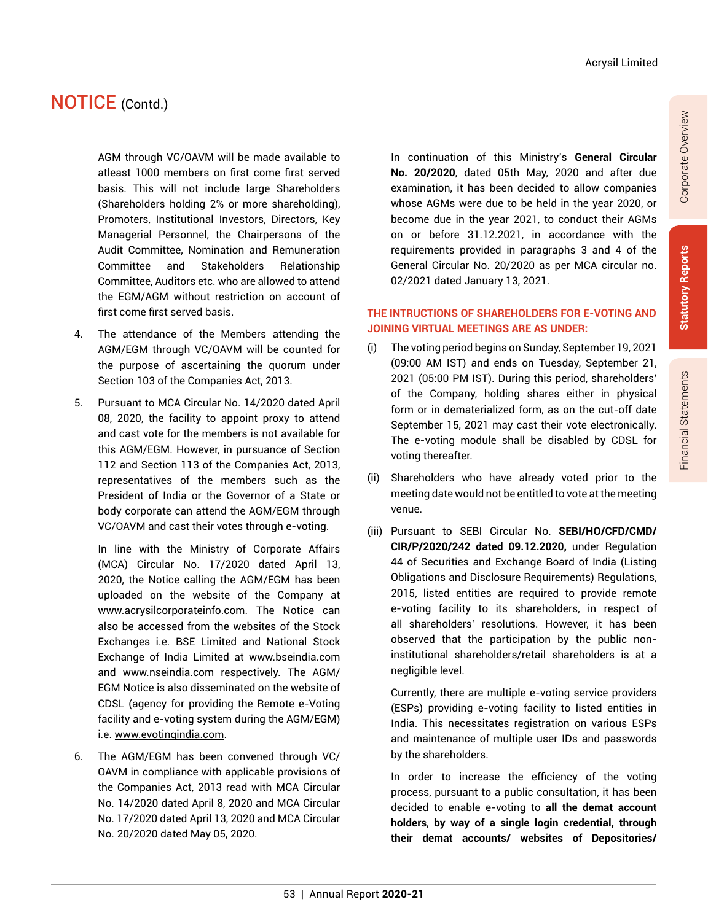AGM through VC/OAVM will be made available to atleast 1000 members on first come first served basis. This will not include large Shareholders (Shareholders holding 2% or more shareholding), Promoters, Institutional Investors, Directors, Key Managerial Personnel, the Chairpersons of the Audit Committee, Nomination and Remuneration Committee and Stakeholders Relationship Committee, Auditors etc. who are allowed to attend the EGM/AGM without restriction on account of first come first served basis.

- 4. The attendance of the Members attending the AGM/EGM through VC/OAVM will be counted for the purpose of ascertaining the quorum under Section 103 of the Companies Act, 2013.
- 5. Pursuant to MCA Circular No. 14/2020 dated April 08, 2020, the facility to appoint proxy to attend and cast vote for the members is not available for this AGM/EGM. However, in pursuance of Section 112 and Section 113 of the Companies Act, 2013, representatives of the members such as the President of India or the Governor of a State or body corporate can attend the AGM/EGM through VC/OAVM and cast their votes through e-voting.

In line with the Ministry of Corporate Affairs (MCA) Circular No. 17/2020 dated April 13, 2020, the Notice calling the AGM/EGM has been uploaded on the website of the Company at www.acrysilcorporateinfo.com. The Notice can also be accessed from the websites of the Stock Exchanges i.e. BSE Limited and National Stock Exchange of India Limited at www.bseindia.com and www.nseindia.com respectively. The AGM/ EGM Notice is also disseminated on the website of CDSL (agency for providing the Remote e-Voting facility and e-voting system during the AGM/EGM) i.e. www.evotingindia.com.

6. The AGM/EGM has been convened through VC/ OAVM in compliance with applicable provisions of the Companies Act, 2013 read with MCA Circular No. 14/2020 dated April 8, 2020 and MCA Circular No. 17/2020 dated April 13, 2020 and MCA Circular No. 20/2020 dated May 05, 2020.

In continuation of this Ministry's **General Circular No. 20/2020**, dated 05th May, 2020 and after due examination, it has been decided to allow companies whose AGMs were due to be held in the year 2020, or become due in the year 2021, to conduct their AGMs on or before 31.12.2021, in accordance with the requirements provided in paragraphs 3 and 4 of the General Circular No. 20/2020 as per MCA circular no. 02/2021 dated January 13, 2021.

#### **THE INTRUCTIONS OF SHAREHOLDERS FOR E-VOTING AND JOINING VIRTUAL MEETINGS ARE AS UNDER:**

- (i) The voting period begins on Sunday, September 19, 2021 (09:00 AM IST) and ends on Tuesday, September 21, 2021 (05:00 PM IST). During this period, shareholders' of the Company, holding shares either in physical form or in dematerialized form, as on the cut-off date September 15, 2021 may cast their vote electronically. The e-voting module shall be disabled by CDSL for voting thereafter.
- (ii) Shareholders who have already voted prior to the meeting date would not be entitled to vote at the meeting venue.
- (iii) Pursuant to SEBI Circular No. **SEBI/HO/CFD/CMD/ CIR/P/2020/242 dated 09.12.2020,** under Regulation 44 of Securities and Exchange Board of India (Listing Obligations and Disclosure Requirements) Regulations, 2015, listed entities are required to provide remote e-voting facility to its shareholders, in respect of all shareholders' resolutions. However, it has been observed that the participation by the public noninstitutional shareholders/retail shareholders is at a negligible level.

Currently, there are multiple e-voting service providers (ESPs) providing e-voting facility to listed entities in India. This necessitates registration on various ESPs and maintenance of multiple user IDs and passwords by the shareholders.

In order to increase the efficiency of the voting process, pursuant to a public consultation, it has been decided to enable e-voting to **all the demat account holders**, **by way of a single login credential, through their demat accounts/ websites of Depositories/**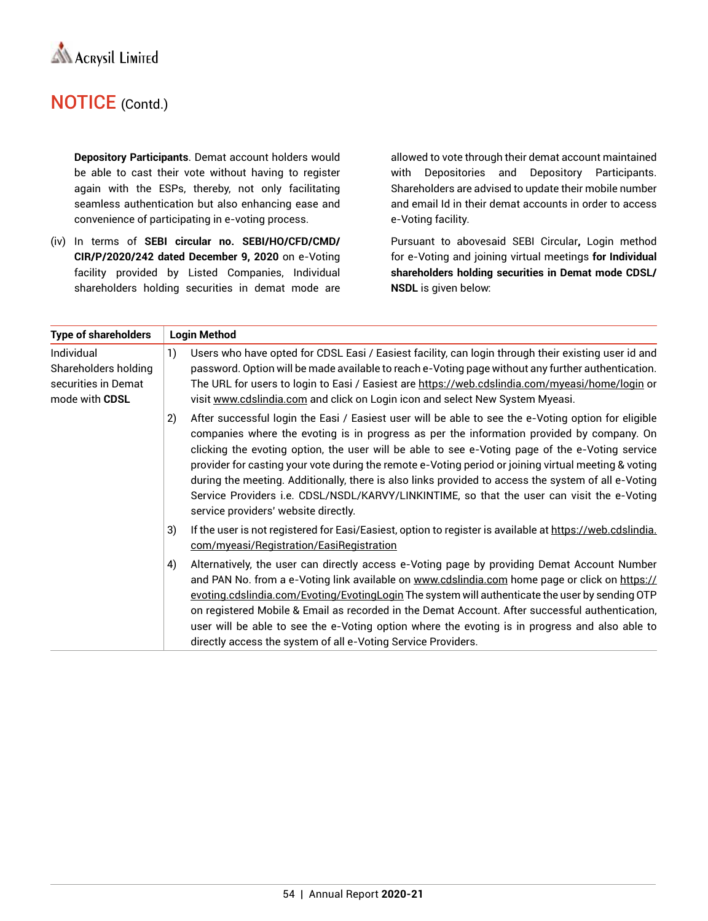

**Depository Participants**. Demat account holders would be able to cast their vote without having to register again with the ESPs, thereby, not only facilitating seamless authentication but also enhancing ease and convenience of participating in e-voting process.

(iv) In terms of **SEBI circular no. SEBI/HO/CFD/CMD/ CIR/P/2020/242 dated December 9, 2020** on e-Voting facility provided by Listed Companies, Individual shareholders holding securities in demat mode are

allowed to vote through their demat account maintained with Depositories and Depository Participants. Shareholders are advised to update their mobile number and email Id in their demat accounts in order to access e-Voting facility.

Pursuant to abovesaid SEBI Circular**,** Login method for e-Voting and joining virtual meetings **for Individual shareholders holding securities in Demat mode CDSL/ NSDL** is given below:

| <b>Type of shareholders</b>                                                 | <b>Login Method</b> |                                                                                                                                                                                                                                                                                                                                                                                                                                                                                                                                                                                                                                                          |
|-----------------------------------------------------------------------------|---------------------|----------------------------------------------------------------------------------------------------------------------------------------------------------------------------------------------------------------------------------------------------------------------------------------------------------------------------------------------------------------------------------------------------------------------------------------------------------------------------------------------------------------------------------------------------------------------------------------------------------------------------------------------------------|
| Individual<br>Shareholders holding<br>securities in Demat<br>mode with CDSL | 1)                  | Users who have opted for CDSL Easi / Easiest facility, can login through their existing user id and<br>password. Option will be made available to reach e-Voting page without any further authentication.<br>The URL for users to login to Easi / Easiest are https://web.cdslindia.com/myeasi/home/login or<br>visit www.cdslindia.com and click on Login icon and select New System Myeasi.                                                                                                                                                                                                                                                            |
|                                                                             | 2)                  | After successful login the Easi / Easiest user will be able to see the e-Voting option for eligible<br>companies where the evoting is in progress as per the information provided by company. On<br>clicking the evoting option, the user will be able to see e-Voting page of the e-Voting service<br>provider for casting your vote during the remote e-Voting period or joining virtual meeting & voting<br>during the meeting. Additionally, there is also links provided to access the system of all e-Voting<br>Service Providers i.e. CDSL/NSDL/KARVY/LINKINTIME, so that the user can visit the e-Voting<br>service providers' website directly. |
|                                                                             | 3)                  | If the user is not registered for Easi/Easiest, option to register is available at https://web.cdslindia.<br>com/myeasi/Registration/EasiRegistration                                                                                                                                                                                                                                                                                                                                                                                                                                                                                                    |
|                                                                             | 4)                  | Alternatively, the user can directly access e-Voting page by providing Demat Account Number<br>and PAN No. from a e-Voting link available on www.cdslindia.com home page or click on https://<br>evoting.cdslindia.com/Evoting/EvotingLogin The system will authenticate the user by sending OTP<br>on registered Mobile & Email as recorded in the Demat Account. After successful authentication,<br>user will be able to see the e-Voting option where the evoting is in progress and also able to<br>directly access the system of all e-Voting Service Providers.                                                                                   |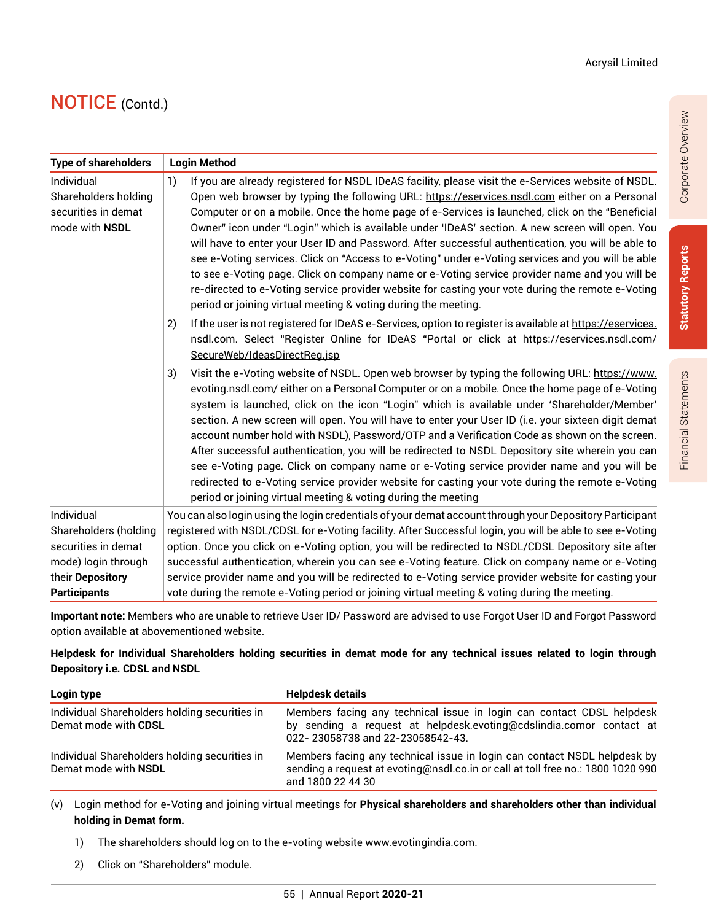| <b>Type of shareholders</b>                                                                                                  | <b>Login Method</b>                                                                                                                                                                                                                                                                                                                                                                                                                                                                                                                                                                                                                                                                                                                                                                                                                                                                                 |
|------------------------------------------------------------------------------------------------------------------------------|-----------------------------------------------------------------------------------------------------------------------------------------------------------------------------------------------------------------------------------------------------------------------------------------------------------------------------------------------------------------------------------------------------------------------------------------------------------------------------------------------------------------------------------------------------------------------------------------------------------------------------------------------------------------------------------------------------------------------------------------------------------------------------------------------------------------------------------------------------------------------------------------------------|
| Individual<br>Shareholders holding<br>securities in demat<br>mode with NSDL                                                  | 1)<br>If you are already registered for NSDL IDeAS facility, please visit the e-Services website of NSDL.<br>Open web browser by typing the following URL: https://eservices.nsdl.com either on a Personal<br>Computer or on a mobile. Once the home page of e-Services is launched, click on the "Beneficial<br>Owner" icon under "Login" which is available under 'IDeAS' section. A new screen will open. You<br>will have to enter your User ID and Password. After successful authentication, you will be able to<br>see e-Voting services. Click on "Access to e-Voting" under e-Voting services and you will be able<br>to see e-Voting page. Click on company name or e-Voting service provider name and you will be<br>re-directed to e-Voting service provider website for casting your vote during the remote e-Voting<br>period or joining virtual meeting & voting during the meeting. |
|                                                                                                                              | If the user is not registered for IDeAS e-Services, option to register is available at https://eservices.<br>2)<br>nsdl.com. Select "Register Online for IDeAS "Portal or click at https://eservices.nsdl.com/<br>SecureWeb/IdeasDirectReg.jsp                                                                                                                                                                                                                                                                                                                                                                                                                                                                                                                                                                                                                                                      |
|                                                                                                                              | Visit the e-Voting website of NSDL. Open web browser by typing the following URL: https://www.<br>3)<br>evoting.nsdl.com/either on a Personal Computer or on a mobile. Once the home page of e-Voting<br>system is launched, click on the icon "Login" which is available under 'Shareholder/Member'<br>section. A new screen will open. You will have to enter your User ID (i.e. your sixteen digit demat<br>account number hold with NSDL), Password/OTP and a Verification Code as shown on the screen.<br>After successful authentication, you will be redirected to NSDL Depository site wherein you can<br>see e-Voting page. Click on company name or e-Voting service provider name and you will be<br>redirected to e-Voting service provider website for casting your vote during the remote e-Voting<br>period or joining virtual meeting & voting during the meeting                   |
| Individual<br>Shareholders (holding<br>securities in demat<br>mode) login through<br>their Depository<br><b>Participants</b> | You can also login using the login credentials of your demat account through your Depository Participant<br>registered with NSDL/CDSL for e-Voting facility. After Successful login, you will be able to see e-Voting<br>option. Once you click on e-Voting option, you will be redirected to NSDL/CDSL Depository site after<br>successful authentication, wherein you can see e-Voting feature. Click on company name or e-Voting<br>service provider name and you will be redirected to e-Voting service provider website for casting your<br>vote during the remote e-Voting period or joining virtual meeting & voting during the meeting.                                                                                                                                                                                                                                                     |

**Important note:** Members who are unable to retrieve User ID/ Password are advised to use Forgot User ID and Forgot Password option available at abovementioned website.

#### **Helpdesk for Individual Shareholders holding securities in demat mode for any technical issues related to login through Depository i.e. CDSL and NSDL**

| Login type                                                            | <b>Helpdesk details</b>                                                                                                                                                          |
|-----------------------------------------------------------------------|----------------------------------------------------------------------------------------------------------------------------------------------------------------------------------|
| Individual Shareholders holding securities in<br>Demat mode with CDSL | Members facing any technical issue in login can contact CDSL helpdesk<br>by sending a request at helpdesk.evoting@cdslindia.comor contact at<br>022-23058738 and 22-23058542-43. |
| Individual Shareholders holding securities in<br>Demat mode with NSDL | Members facing any technical issue in login can contact NSDL helpdesk by<br>sending a request at evoting@nsdl.co.in or call at toll free no.: 1800 1020 990<br>and 1800 22 44 30 |

(v) Login method for e-Voting and joining virtual meetings for **Physical shareholders and shareholders other than individual holding in Demat form.**

- 1) The shareholders should log on to the e-voting website www.evotingindia.com.
- 2) Click on "Shareholders" module.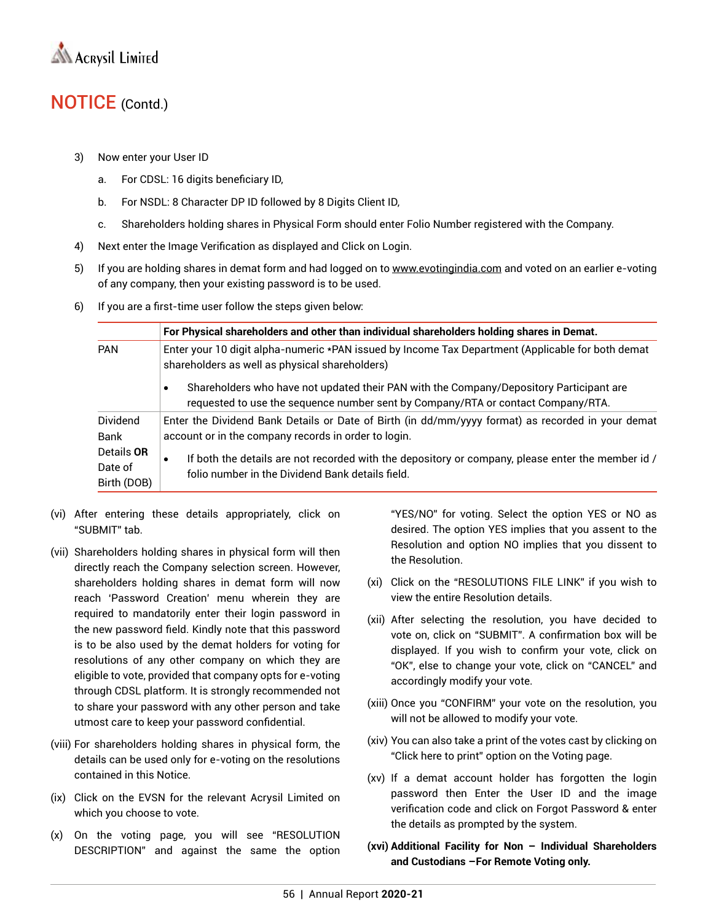

- 3) Now enter your User ID
	- a. For CDSL: 16 digits beneficiary ID,
	- b. For NSDL: 8 Character DP ID followed by 8 Digits Client ID,
	- c. Shareholders holding shares in Physical Form should enter Folio Number registered with the Company.
- 4) Next enter the Image Verification as displayed and Click on Login.
- 5) If you are holding shares in demat form and had logged on to www.evotingindia.com and voted on an earlier e-voting of any company, then your existing password is to be used.
- 6) If you are a first-time user follow the steps given below:

|                                      | For Physical shareholders and other than individual shareholders holding shares in Demat.                                                                                                |
|--------------------------------------|------------------------------------------------------------------------------------------------------------------------------------------------------------------------------------------|
| <b>PAN</b>                           | Enter your 10 digit alpha-numeric *PAN issued by Income Tax Department (Applicable for both demat<br>shareholders as well as physical shareholders)                                      |
|                                      | Shareholders who have not updated their PAN with the Company/Depository Participant are<br>$\bullet$<br>requested to use the sequence number sent by Company/RTA or contact Company/RTA. |
| <b>Dividend</b><br>Bank              | Enter the Dividend Bank Details or Date of Birth (in dd/mm/yyyy format) as recorded in your demat<br>account or in the company records in order to login.                                |
| Details OR<br>Date of<br>Birth (DOB) | If both the details are not recorded with the depository or company, please enter the member id /<br>$\bullet$<br>folio number in the Dividend Bank details field.                       |

- (vi) After entering these details appropriately, click on "SUBMIT" tab.
- (vii) Shareholders holding shares in physical form will then directly reach the Company selection screen. However, shareholders holding shares in demat form will now reach 'Password Creation' menu wherein they are required to mandatorily enter their login password in the new password field. Kindly note that this password is to be also used by the demat holders for voting for resolutions of any other company on which they are eligible to vote, provided that company opts for e-voting through CDSL platform. It is strongly recommended not to share your password with any other person and take utmost care to keep your password confidential.
- (viii) For shareholders holding shares in physical form, the details can be used only for e-voting on the resolutions contained in this Notice.
- (ix) Click on the EVSN for the relevant Acrysil Limited on which you choose to vote.
- (x) On the voting page, you will see "RESOLUTION DESCRIPTION" and against the same the option

"YES/NO" for voting. Select the option YES or NO as desired. The option YES implies that you assent to the Resolution and option NO implies that you dissent to the Resolution.

- (xi) Click on the "RESOLUTIONS FILE LINK" if you wish to view the entire Resolution details.
- (xii) After selecting the resolution, you have decided to vote on, click on "SUBMIT". A confirmation box will be displayed. If you wish to confirm your vote, click on "OK", else to change your vote, click on "CANCEL" and accordingly modify your vote.
- (xiii) Once you "CONFIRM" your vote on the resolution, you will not be allowed to modify your vote.
- (xiv) You can also take a print of the votes cast by clicking on "Click here to print" option on the Voting page.
- (xv) If a demat account holder has forgotten the login password then Enter the User ID and the image verification code and click on Forgot Password & enter the details as prompted by the system.
- **(xvi) Additional Facility for Non Individual Shareholders and Custodians –For Remote Voting only.**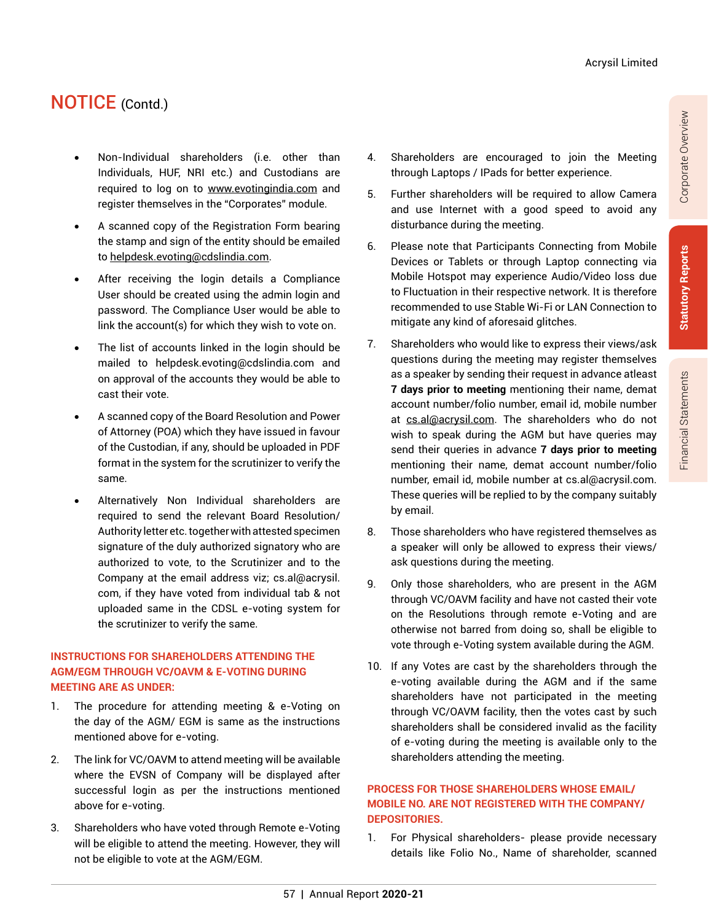- Non-Individual shareholders (i.e. other than Individuals, HUF, NRI etc.) and Custodians are required to log on to www.evotingindia.com and register themselves in the "Corporates" module.
- A scanned copy of the Registration Form bearing the stamp and sign of the entity should be emailed to helpdesk.evoting@cdslindia.com.
- After receiving the login details a Compliance User should be created using the admin login and password. The Compliance User would be able to link the account(s) for which they wish to vote on.
- The list of accounts linked in the login should be mailed to helpdesk.evoting@cdslindia.com and on approval of the accounts they would be able to cast their vote.
- A scanned copy of the Board Resolution and Power of Attorney (POA) which they have issued in favour of the Custodian, if any, should be uploaded in PDF format in the system for the scrutinizer to verify the same.
- Alternatively Non Individual shareholders are required to send the relevant Board Resolution/ Authority letter etc. together with attested specimen signature of the duly authorized signatory who are authorized to vote, to the Scrutinizer and to the Company at the email address viz; cs.al@acrysil. com, if they have voted from individual tab & not uploaded same in the CDSL e-voting system for the scrutinizer to verify the same.

#### **INSTRUCTIONS FOR SHAREHOLDERS ATTENDING THE AGM/EGM THROUGH VC/OAVM & E-VOTING DURING MEETING ARE AS UNDER:**

- 1. The procedure for attending meeting & e-Voting on the day of the AGM/ EGM is same as the instructions mentioned above for e-voting.
- 2. The link for VC/OAVM to attend meeting will be available where the EVSN of Company will be displayed after successful login as per the instructions mentioned above for e-voting.
- 3. Shareholders who have voted through Remote e-Voting will be eligible to attend the meeting. However, they will not be eligible to vote at the AGM/EGM.
- 4. Shareholders are encouraged to join the Meeting through Laptops / IPads for better experience.
- 5. Further shareholders will be required to allow Camera and use Internet with a good speed to avoid any disturbance during the meeting.
- 6. Please note that Participants Connecting from Mobile Devices or Tablets or through Laptop connecting via Mobile Hotspot may experience Audio/Video loss due to Fluctuation in their respective network. It is therefore recommended to use Stable Wi-Fi or LAN Connection to mitigate any kind of aforesaid glitches.
- 7. Shareholders who would like to express their views/ask questions during the meeting may register themselves as a speaker by sending their request in advance atleast **7 days prior to meeting** mentioning their name, demat account number/folio number, email id, mobile number at cs.al@acrysil.com. The shareholders who do not wish to speak during the AGM but have queries may send their queries in advance **7 days prior to meeting** mentioning their name, demat account number/folio number, email id, mobile number at cs.al@acrysil.com. These queries will be replied to by the company suitably by email.
- 8. Those shareholders who have registered themselves as a speaker will only be allowed to express their views/ ask questions during the meeting.
- 9. Only those shareholders, who are present in the AGM through VC/OAVM facility and have not casted their vote on the Resolutions through remote e-Voting and are otherwise not barred from doing so, shall be eligible to vote through e-Voting system available during the AGM.
- 10. If any Votes are cast by the shareholders through the e-voting available during the AGM and if the same shareholders have not participated in the meeting through VC/OAVM facility, then the votes cast by such shareholders shall be considered invalid as the facility of e-voting during the meeting is available only to the shareholders attending the meeting.

#### **PROCESS FOR THOSE SHAREHOLDERS WHOSE EMAIL/ MOBILE NO. ARE NOT REGISTERED WITH THE COMPANY/ DEPOSITORIES.**

1. For Physical shareholders- please provide necessary details like Folio No., Name of shareholder, scanned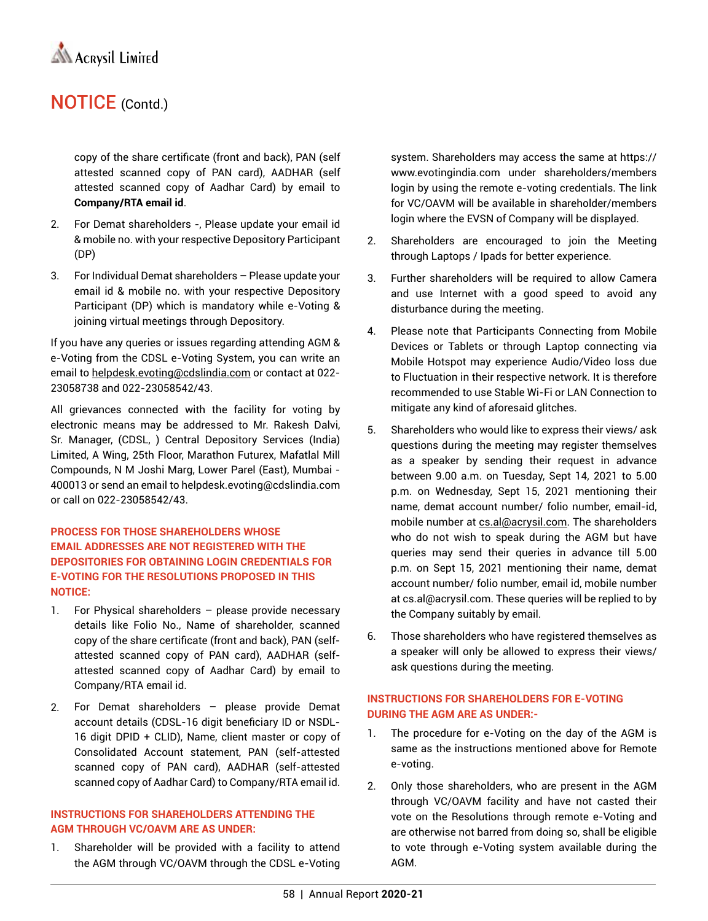

copy of the share certificate (front and back), PAN (self attested scanned copy of PAN card), AADHAR (self attested scanned copy of Aadhar Card) by email to **Company/RTA email id**.

- 2. For Demat shareholders -, Please update your email id & mobile no. with your respective Depository Participant (DP)
- 3. For Individual Demat shareholders Please update your email id & mobile no. with your respective Depository Participant (DP) which is mandatory while e-Voting & joining virtual meetings through Depository.

If you have any queries or issues regarding attending AGM & e-Voting from the CDSL e-Voting System, you can write an email to helpdesk.evoting@cdslindia.com or contact at 022- 23058738 and 022-23058542/43.

All grievances connected with the facility for voting by electronic means may be addressed to Mr. Rakesh Dalvi, Sr. Manager, (CDSL, ) Central Depository Services (India) Limited, A Wing, 25th Floor, Marathon Futurex, Mafatlal Mill Compounds, N M Joshi Marg, Lower Parel (East), Mumbai - 400013 or send an email to helpdesk.evoting@cdslindia.com or call on 022-23058542/43.

#### **PROCESS FOR THOSE SHAREHOLDERS WHOSE EMAIL ADDRESSES ARE NOT REGISTERED WITH THE DEPOSITORIES FOR OBTAINING LOGIN CREDENTIALS FOR E-VOTING FOR THE RESOLUTIONS PROPOSED IN THIS NOTICE:**

- 1. For Physical shareholders please provide necessary details like Folio No., Name of shareholder, scanned copy of the share certificate (front and back), PAN (selfattested scanned copy of PAN card), AADHAR (selfattested scanned copy of Aadhar Card) by email to Company/RTA email id.
- 2. For Demat shareholders please provide Demat account details (CDSL-16 digit beneficiary ID or NSDL-16 digit DPID + CLID), Name, client master or copy of Consolidated Account statement, PAN (self-attested scanned copy of PAN card), AADHAR (self-attested scanned copy of Aadhar Card) to Company/RTA email id.

#### **INSTRUCTIONS FOR SHAREHOLDERS ATTENDING THE AGM THROUGH VC/OAVM ARE AS UNDER:**

1. Shareholder will be provided with a facility to attend the AGM through VC/OAVM through the CDSL e-Voting system. Shareholders may access the same at https:// www.evotingindia.com under shareholders/members login by using the remote e-voting credentials. The link for VC/OAVM will be available in shareholder/members login where the EVSN of Company will be displayed.

- 2. Shareholders are encouraged to join the Meeting through Laptops / Ipads for better experience.
- 3. Further shareholders will be required to allow Camera and use Internet with a good speed to avoid any disturbance during the meeting.
- 4. Please note that Participants Connecting from Mobile Devices or Tablets or through Laptop connecting via Mobile Hotspot may experience Audio/Video loss due to Fluctuation in their respective network. It is therefore recommended to use Stable Wi-Fi or LAN Connection to mitigate any kind of aforesaid glitches.
- 5. Shareholders who would like to express their views/ ask questions during the meeting may register themselves as a speaker by sending their request in advance between 9.00 a.m. on Tuesday, Sept 14, 2021 to 5.00 p.m. on Wednesday, Sept 15, 2021 mentioning their name, demat account number/ folio number, email-id, mobile number at cs.al@acrysil.com. The shareholders who do not wish to speak during the AGM but have queries may send their queries in advance till 5.00 p.m. on Sept 15, 2021 mentioning their name, demat account number/ folio number, email id, mobile number at cs.al@acrysil.com. These queries will be replied to by the Company suitably by email.
- 6. Those shareholders who have registered themselves as a speaker will only be allowed to express their views/ ask questions during the meeting.

#### **INSTRUCTIONS FOR SHAREHOLDERS FOR E-VOTING DURING THE AGM ARE AS UNDER:-**

- 1. The procedure for e-Voting on the day of the AGM is same as the instructions mentioned above for Remote e-voting.
- 2. Only those shareholders, who are present in the AGM through VC/OAVM facility and have not casted their vote on the Resolutions through remote e-Voting and are otherwise not barred from doing so, shall be eligible to vote through e-Voting system available during the AGM.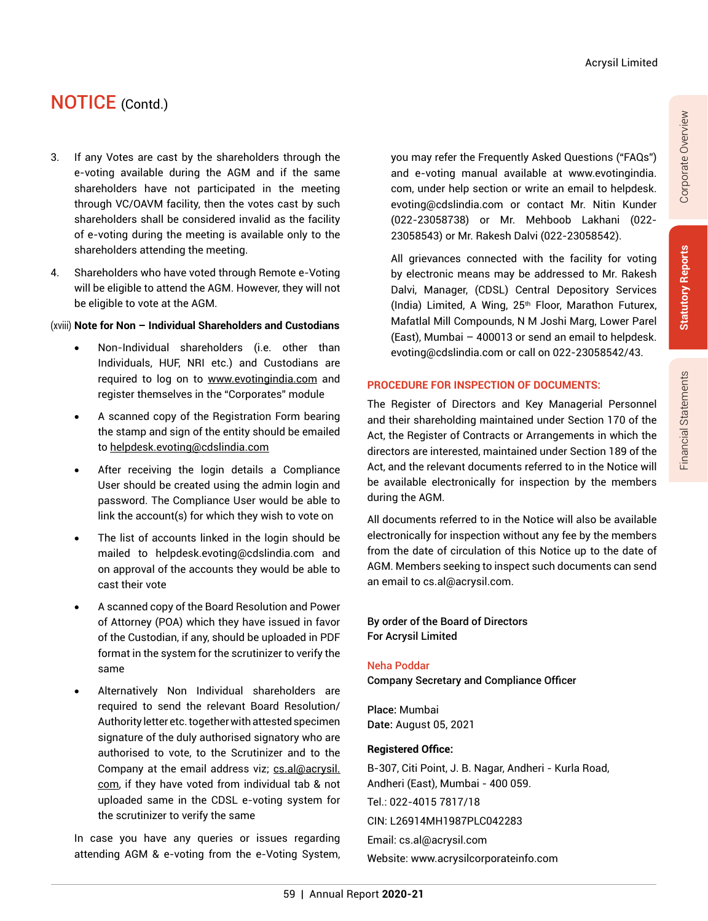Corporate Overview

Corporate Overview

Financial Statements **Statutory Reports** 

**Financial Statements** 

**Statutory Reports** 

# NOTICE (Contd.)

- 3. If any Votes are cast by the shareholders through the e-voting available during the AGM and if the same shareholders have not participated in the meeting through VC/OAVM facility, then the votes cast by such shareholders shall be considered invalid as the facility of e-voting during the meeting is available only to the shareholders attending the meeting.
- 4. Shareholders who have voted through Remote e-Voting will be eligible to attend the AGM. However, they will not be eligible to vote at the AGM.

#### (xviii) **Note for Non – Individual Shareholders and Custodians**

- Non-Individual shareholders (i.e. other than Individuals, HUF, NRI etc.) and Custodians are required to log on to www.evotingindia.com and register themselves in the "Corporates" module
- A scanned copy of the Registration Form bearing the stamp and sign of the entity should be emailed to helpdesk.evoting@cdslindia.com
- After receiving the login details a Compliance User should be created using the admin login and password. The Compliance User would be able to link the account(s) for which they wish to vote on
- The list of accounts linked in the login should be mailed to helpdesk.evoting@cdslindia.com and on approval of the accounts they would be able to cast their vote
- A scanned copy of the Board Resolution and Power of Attorney (POA) which they have issued in favor of the Custodian, if any, should be uploaded in PDF format in the system for the scrutinizer to verify the same
- Alternatively Non Individual shareholders are required to send the relevant Board Resolution/ Authority letter etc. together with attested specimen signature of the duly authorised signatory who are authorised to vote, to the Scrutinizer and to the Company at the email address viz; cs.al@acrysil. com, if they have voted from individual tab & not uploaded same in the CDSL e-voting system for the scrutinizer to verify the same

In case you have any queries or issues regarding attending AGM & e-voting from the e-Voting System, you may refer the Frequently Asked Questions ("FAQs") and e-voting manual available at www.evotingindia. com, under help section or write an email to helpdesk. evoting@cdslindia.com or contact Mr. Nitin Kunder (022-23058738) or Mr. Mehboob Lakhani (022- 23058543) or Mr. Rakesh Dalvi (022-23058542).

All grievances connected with the facility for voting by electronic means may be addressed to Mr. Rakesh Dalvi, Manager, (CDSL) Central Depository Services (India) Limited, A Wing,  $25<sup>th</sup>$  Floor, Marathon Futurex, Mafatlal Mill Compounds, N M Joshi Marg, Lower Parel (East), Mumbai – 400013 or send an email to helpdesk. evoting@cdslindia.com or call on 022-23058542/43.

#### **PROCEDURE FOR INSPECTION OF DOCUMENTS:**

The Register of Directors and Key Managerial Personnel and their shareholding maintained under Section 170 of the Act, the Register of Contracts or Arrangements in which the directors are interested, maintained under Section 189 of the Act, and the relevant documents referred to in the Notice will be available electronically for inspection by the members during the AGM.

All documents referred to in the Notice will also be available electronically for inspection without any fee by the members from the date of circulation of this Notice up to the date of AGM. Members seeking to inspect such documents can send an email to cs.al@acrysil.com.

By order of the Board of Directors For Acrysil Limited

#### Neha Poddar

Company Secretary and Compliance Officer

Place: Mumbai Date: August 05, 2021

#### **Registered Office:**

B-307, Citi Point, J. B. Nagar, Andheri - Kurla Road, Andheri (East), Mumbai - 400 059. Tel.: 022-4015 7817/18 CIN: L26914MH1987PLC042283 Email: cs.al@acrysil.com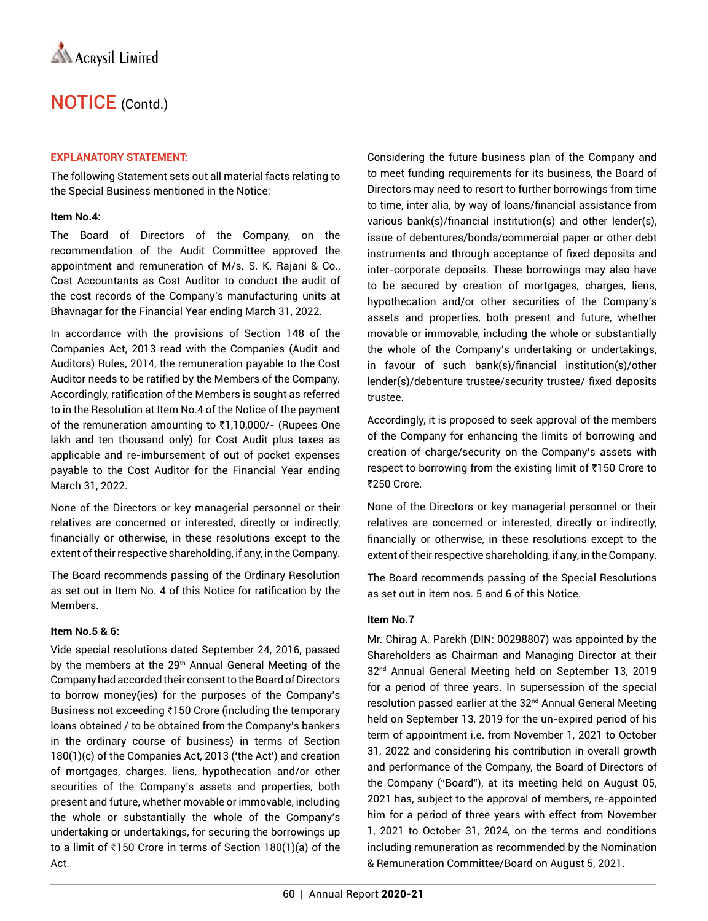#### **EXPLANATORY STATEMENT:**

The following Statement sets out all material facts relating to the Special Business mentioned in the Notice:

#### **Item No.4:**

The Board of Directors of the Company, on the recommendation of the Audit Committee approved the appointment and remuneration of M/s. S. K. Rajani & Co., Cost Accountants as Cost Auditor to conduct the audit of the cost records of the Company's manufacturing units at Bhavnagar for the Financial Year ending March 31, 2022.

In accordance with the provisions of Section 148 of the Companies Act, 2013 read with the Companies (Audit and Auditors) Rules, 2014, the remuneration payable to the Cost Auditor needs to be ratified by the Members of the Company. Accordingly, ratification of the Members is sought as referred to in the Resolution at Item No.4 of the Notice of the payment of the remuneration amounting to  $\bar{\tau}$ 1,10,000/- (Rupees One lakh and ten thousand only) for Cost Audit plus taxes as applicable and re-imbursement of out of pocket expenses payable to the Cost Auditor for the Financial Year ending March 31, 2022.

None of the Directors or key managerial personnel or their relatives are concerned or interested, directly or indirectly, financially or otherwise, in these resolutions except to the extent of their respective shareholding, if any, in the Company.

The Board recommends passing of the Ordinary Resolution as set out in Item No. 4 of this Notice for ratification by the Members.

#### **Item No.5 & 6:**

Vide special resolutions dated September 24, 2016, passed by the members at the 29<sup>th</sup> Annual General Meeting of the Company had accorded their consent to the Board of Directors to borrow money(ies) for the purposes of the Company's Business not exceeding  $\overline{3}150$  Crore (including the temporary loans obtained / to be obtained from the Company's bankers in the ordinary course of business) in terms of Section 180(1)(c) of the Companies Act, 2013 ('the Act') and creation of mortgages, charges, liens, hypothecation and/or other securities of the Company's assets and properties, both present and future, whether movable or immovable, including the whole or substantially the whole of the Company's undertaking or undertakings, for securing the borrowings up to a limit of  $\bar{z}$ 150 Crore in terms of Section 180(1)(a) of the Act.

Considering the future business plan of the Company and to meet funding requirements for its business, the Board of Directors may need to resort to further borrowings from time to time, inter alia, by way of loans/financial assistance from various bank(s)/financial institution(s) and other lender(s), issue of debentures/bonds/commercial paper or other debt instruments and through acceptance of fixed deposits and inter-corporate deposits. These borrowings may also have to be secured by creation of mortgages, charges, liens, hypothecation and/or other securities of the Company's assets and properties, both present and future, whether movable or immovable, including the whole or substantially the whole of the Company's undertaking or undertakings, in favour of such bank(s)/financial institution(s)/other lender(s)/debenture trustee/security trustee/ fixed deposits trustee.

Accordingly, it is proposed to seek approval of the members of the Company for enhancing the limits of borrowing and creation of charge/security on the Company's assets with respect to borrowing from the existing limit of  $\overline{\tau}$ 150 Crore to ₹250 Crore.

None of the Directors or key managerial personnel or their relatives are concerned or interested, directly or indirectly, financially or otherwise, in these resolutions except to the extent of their respective shareholding, if any, in the Company.

The Board recommends passing of the Special Resolutions as set out in item nos. 5 and 6 of this Notice.

#### **Item No.7**

Mr. Chirag A. Parekh (DIN: 00298807) was appointed by the Shareholders as Chairman and Managing Director at their 32nd Annual General Meeting held on September 13, 2019 for a period of three years. In supersession of the special resolution passed earlier at the 32<sup>nd</sup> Annual General Meeting held on September 13, 2019 for the un-expired period of his term of appointment i.e. from November 1, 2021 to October 31, 2022 and considering his contribution in overall growth and performance of the Company, the Board of Directors of the Company ("Board"), at its meeting held on August 05, 2021 has, subject to the approval of members, re-appointed him for a period of three years with effect from November 1, 2021 to October 31, 2024, on the terms and conditions including remuneration as recommended by the Nomination & Remuneration Committee/Board on August 5, 2021.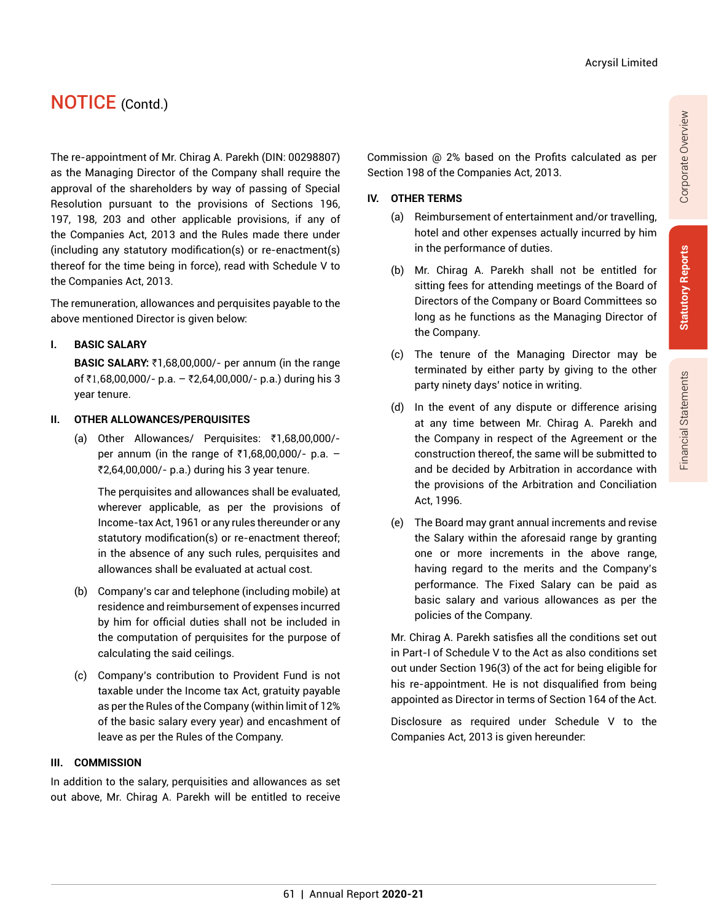The re-appointment of Mr. Chirag A. Parekh (DIN: 00298807) as the Managing Director of the Company shall require the approval of the shareholders by way of passing of Special Resolution pursuant to the provisions of Sections 196, 197, 198, 203 and other applicable provisions, if any of the Companies Act, 2013 and the Rules made there under (including any statutory modification(s) or re-enactment(s) thereof for the time being in force), read with Schedule V to the Companies Act, 2013.

The remuneration, allowances and perquisites payable to the above mentioned Director is given below:

#### **I. Basic SALARY**

**BASIC SALARY: ₹1,68,00,000/- per annum (in the range** of ₹1,68,00,000/- p.a. – ₹2,64,00,000/- p.a.) during his 3 year tenure.

#### **II. OTHER ALLOWANCES/PERQUISITES**

(a) Other Allowances/ Perquisites: ₹1,68,00,000/per annum (in the range of  $\bar{\tau}$ 1,68,00,000/- p.a. – `2,64,00,000/- p.a.) during his 3 year tenure.

The perquisites and allowances shall be evaluated, wherever applicable, as per the provisions of Income-tax Act, 1961 or any rules thereunder or any statutory modification(s) or re-enactment thereof; in the absence of any such rules, perquisites and allowances shall be evaluated at actual cost.

- (b) Company's car and telephone (including mobile) at residence and reimbursement of expenses incurred by him for official duties shall not be included in the computation of perquisites for the purpose of calculating the said ceilings.
- (c) Company's contribution to Provident Fund is not taxable under the Income tax Act, gratuity payable as per the Rules of the Company (within limit of 12% of the basic salary every year) and encashment of leave as per the Rules of the Company.

#### **III. COMMISSION**

In addition to the salary, perquisities and allowances as set out above, Mr. Chirag A. Parekh will be entitled to receive

Commission @ 2% based on the Profits calculated as per Section 198 of the Companies Act, 2013.

#### **IV. OTHER TERMS**

- (a) Reimbursement of entertainment and/or travelling, hotel and other expenses actually incurred by him in the performance of duties.
- (b) Mr. Chirag A. Parekh shall not be entitled for sitting fees for attending meetings of the Board of Directors of the Company or Board Committees so long as he functions as the Managing Director of the Company.
- (c) The tenure of the Managing Director may be terminated by either party by giving to the other party ninety days' notice in writing.
- (d) In the event of any dispute or difference arising at any time between Mr. Chirag A. Parekh and the Company in respect of the Agreement or the construction thereof, the same will be submitted to and be decided by Arbitration in accordance with the provisions of the Arbitration and Conciliation Act, 1996.
- (e) The Board may grant annual increments and revise the Salary within the aforesaid range by granting one or more increments in the above range, having regard to the merits and the Company's performance. The Fixed Salary can be paid as basic salary and various allowances as per the policies of the Company.

Mr. Chirag A. Parekh satisfies all the conditions set out in Part-I of Schedule V to the Act as also conditions set out under Section 196(3) of the act for being eligible for his re-appointment. He is not disqualified from being appointed as Director in terms of Section 164 of the Act.

Disclosure as required under Schedule V to the Companies Act, 2013 is given hereunder: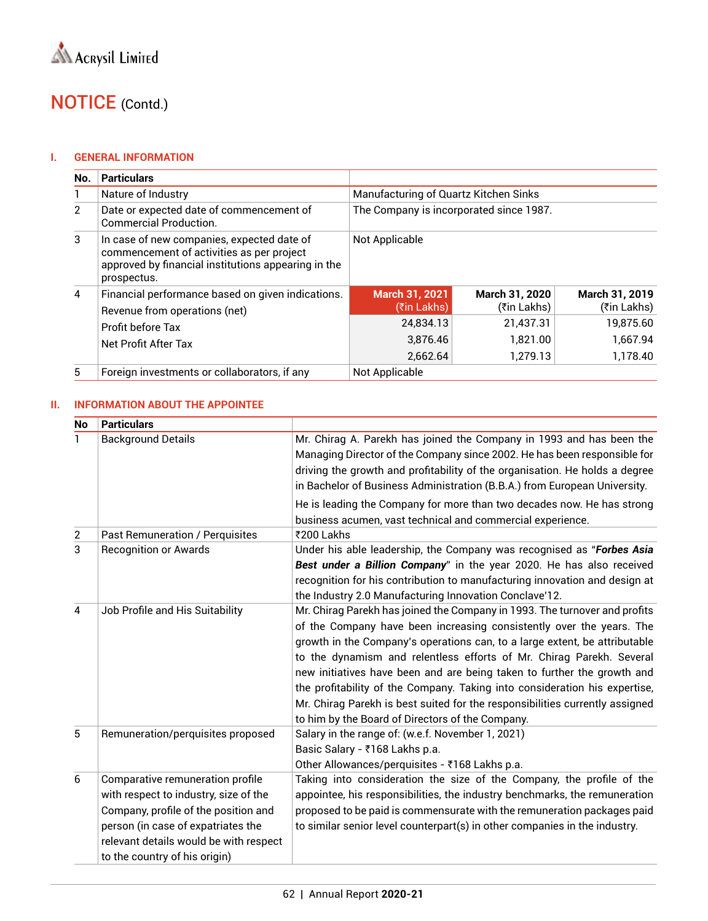#### **I. GENERAL INFORMATION**

| No.           | <b>Particulars</b>                                                                                                                                            |                                         |                               |                               |
|---------------|---------------------------------------------------------------------------------------------------------------------------------------------------------------|-----------------------------------------|-------------------------------|-------------------------------|
|               | Nature of Industry                                                                                                                                            | Manufacturing of Quartz Kitchen Sinks   |                               |                               |
| $\mathcal{P}$ | Date or expected date of commencement of<br><b>Commercial Production.</b>                                                                                     | The Company is incorporated since 1987. |                               |                               |
| 3             | In case of new companies, expected date of<br>commencement of activities as per project<br>approved by financial institutions appearing in the<br>prospectus. | Not Applicable                          |                               |                               |
| 4             | Financial performance based on given indications.<br>Revenue from operations (net)                                                                            | <b>March 31, 2021</b><br>(₹in Lakhs)    | March 31, 2020<br>(₹in Lakhs) | March 31, 2019<br>(₹in Lakhs) |
|               | Profit before Tax<br>Net Profit After Tax                                                                                                                     | 24.834.13                               | 21,437.31                     | 19.875.60                     |
|               |                                                                                                                                                               | 3.876.46                                | 1.821.00                      | 1.667.94                      |
|               |                                                                                                                                                               | 2.662.64                                | 1,279.13                      | 1.178.40                      |
| 5             | Foreign investments or collaborators, if any                                                                                                                  | Not Applicable                          |                               |                               |

#### **II. INFORMATION ABOUT THE APPOINTEE**

| <b>No</b>      | <b>Particulars</b>                                                                                                                                                                                                                 |                                                                                                                                                                                                                                                                                                                                                                                                                                                                                                                                                                                                       |
|----------------|------------------------------------------------------------------------------------------------------------------------------------------------------------------------------------------------------------------------------------|-------------------------------------------------------------------------------------------------------------------------------------------------------------------------------------------------------------------------------------------------------------------------------------------------------------------------------------------------------------------------------------------------------------------------------------------------------------------------------------------------------------------------------------------------------------------------------------------------------|
|                | <b>Background Details</b>                                                                                                                                                                                                          | Mr. Chirag A. Parekh has joined the Company in 1993 and has been the<br>Managing Director of the Company since 2002. He has been responsible for<br>driving the growth and profitability of the organisation. He holds a degree<br>in Bachelor of Business Administration (B.B.A.) from European University.                                                                                                                                                                                                                                                                                          |
|                |                                                                                                                                                                                                                                    | He is leading the Company for more than two decades now. He has strong<br>business acumen, vast technical and commercial experience.                                                                                                                                                                                                                                                                                                                                                                                                                                                                  |
| $\overline{2}$ | Past Remuneration / Perquisites                                                                                                                                                                                                    | ₹200 Lakhs                                                                                                                                                                                                                                                                                                                                                                                                                                                                                                                                                                                            |
| 3              | <b>Recognition or Awards</b>                                                                                                                                                                                                       | Under his able leadership, the Company was recognised as "Forbes Asia<br>Best under a Billion Company" in the year 2020. He has also received<br>recognition for his contribution to manufacturing innovation and design at<br>the Industry 2.0 Manufacturing Innovation Conclave'12.                                                                                                                                                                                                                                                                                                                 |
| 4              | Job Profile and His Suitability                                                                                                                                                                                                    | Mr. Chirag Parekh has joined the Company in 1993. The turnover and profits<br>of the Company have been increasing consistently over the years. The<br>growth in the Company's operations can, to a large extent, be attributable<br>to the dynamism and relentless efforts of Mr. Chirag Parekh. Several<br>new initiatives have been and are being taken to further the growth and<br>the profitability of the Company. Taking into consideration his expertise,<br>Mr. Chirag Parekh is best suited for the responsibilities currently assigned<br>to him by the Board of Directors of the Company. |
| 5              | Remuneration/perquisites proposed                                                                                                                                                                                                  | Salary in the range of: (w.e.f. November 1, 2021)<br>Basic Salary - ₹168 Lakhs p.a.<br>Other Allowances/perquisites - ₹168 Lakhs p.a.                                                                                                                                                                                                                                                                                                                                                                                                                                                                 |
| 6              | Comparative remuneration profile<br>with respect to industry, size of the<br>Company, profile of the position and<br>person (in case of expatriates the<br>relevant details would be with respect<br>to the country of his origin) | Taking into consideration the size of the Company, the profile of the<br>appointee, his responsibilities, the industry benchmarks, the remuneration<br>proposed to be paid is commensurate with the remuneration packages paid<br>to similar senior level counterpart(s) in other companies in the industry.                                                                                                                                                                                                                                                                                          |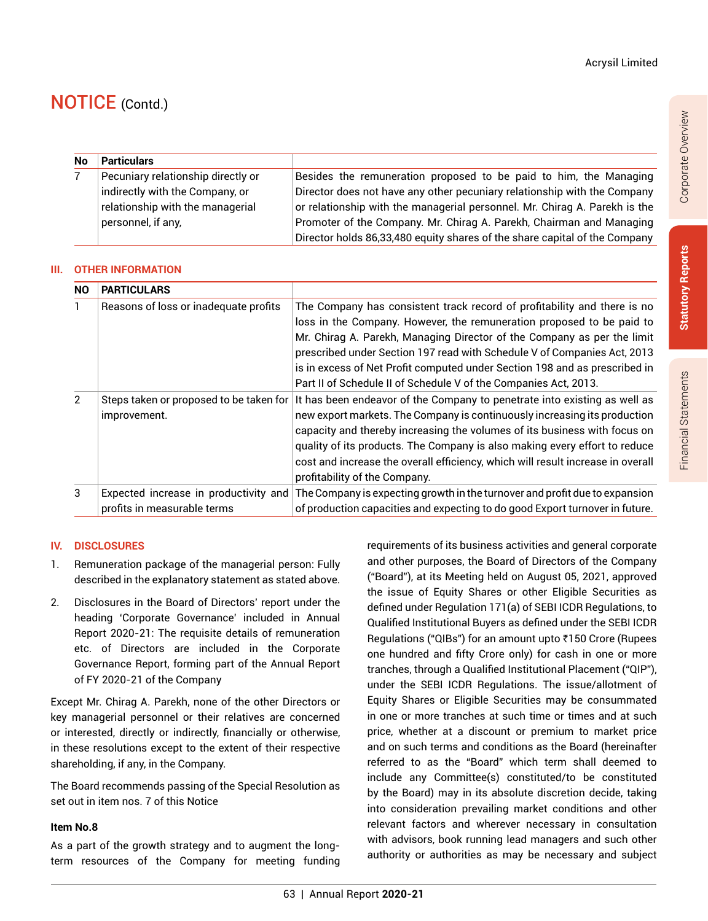| <b>No</b> | <b>Particulars</b>                 |                                                                            |
|-----------|------------------------------------|----------------------------------------------------------------------------|
|           | Pecuniary relationship directly or | Besides the remuneration proposed to be paid to him, the Managing          |
|           | indirectly with the Company, or    | Director does not have any other pecuniary relationship with the Company   |
|           | relationship with the managerial   | or relationship with the managerial personnel. Mr. Chirag A. Parekh is the |
|           | personnel, if any,                 | Promoter of the Company. Mr. Chirag A. Parekh, Chairman and Managing       |
|           |                                    | Director holds 86,33,480 equity shares of the share capital of the Company |

#### **III. OTHER INFORMATION**

| NO.           | <b>PARTICULARS</b>                                                   |                                                                                                                                                                                                                                                                                                                                                                                                                                                            |
|---------------|----------------------------------------------------------------------|------------------------------------------------------------------------------------------------------------------------------------------------------------------------------------------------------------------------------------------------------------------------------------------------------------------------------------------------------------------------------------------------------------------------------------------------------------|
|               | Reasons of loss or inadequate profits                                | The Company has consistent track record of profitability and there is no<br>loss in the Company. However, the remuneration proposed to be paid to<br>Mr. Chirag A. Parekh, Managing Director of the Company as per the limit<br>prescribed under Section 197 read with Schedule V of Companies Act, 2013<br>is in excess of Net Profit computed under Section 198 and as prescribed in<br>Part II of Schedule II of Schedule V of the Companies Act, 2013. |
| $\mathcal{P}$ | Steps taken or proposed to be taken for<br>improvement.              | It has been endeavor of the Company to penetrate into existing as well as<br>new export markets. The Company is continuously increasing its production<br>capacity and thereby increasing the volumes of its business with focus on<br>quality of its products. The Company is also making every effort to reduce<br>cost and increase the overall efficiency, which will result increase in overall<br>profitability of the Company.                      |
| 3             | Expected increase in productivity and<br>profits in measurable terms | The Company is expecting growth in the turnover and profit due to expansion<br>of production capacities and expecting to do good Export turnover in future.                                                                                                                                                                                                                                                                                                |

#### **IV. DISCLOSURES**

- 1. Remuneration package of the managerial person: Fully described in the explanatory statement as stated above.
- 2. Disclosures in the Board of Directors' report under the heading 'Corporate Governance' included in Annual Report 2020-21: The requisite details of remuneration etc. of Directors are included in the Corporate Governance Report, forming part of the Annual Report of FY 2020-21 of the Company

Except Mr. Chirag A. Parekh, none of the other Directors or key managerial personnel or their relatives are concerned or interested, directly or indirectly, financially or otherwise, in these resolutions except to the extent of their respective shareholding, if any, in the Company.

The Board recommends passing of the Special Resolution as set out in item nos. 7 of this Notice

#### **Item No.8**

As a part of the growth strategy and to augment the longterm resources of the Company for meeting funding requirements of its business activities and general corporate and other purposes, the Board of Directors of the Company ("Board"), at its Meeting held on August 05, 2021, approved the issue of Equity Shares or other Eligible Securities as defined under Regulation 171(a) of SEBI ICDR Regulations, to Qualified Institutional Buyers as defined under the SEBI ICDR Regulations ("QIBs") for an amount upto ₹150 Crore (Rupees one hundred and fifty Crore only) for cash in one or more tranches, through a Qualified Institutional Placement ("QIP"), under the SEBI ICDR Regulations. The issue/allotment of Equity Shares or Eligible Securities may be consummated in one or more tranches at such time or times and at such price, whether at a discount or premium to market price and on such terms and conditions as the Board (hereinafter referred to as the "Board" which term shall deemed to include any Committee(s) constituted/to be constituted by the Board) may in its absolute discretion decide, taking into consideration prevailing market conditions and other relevant factors and wherever necessary in consultation with advisors, book running lead managers and such other authority or authorities as may be necessary and subject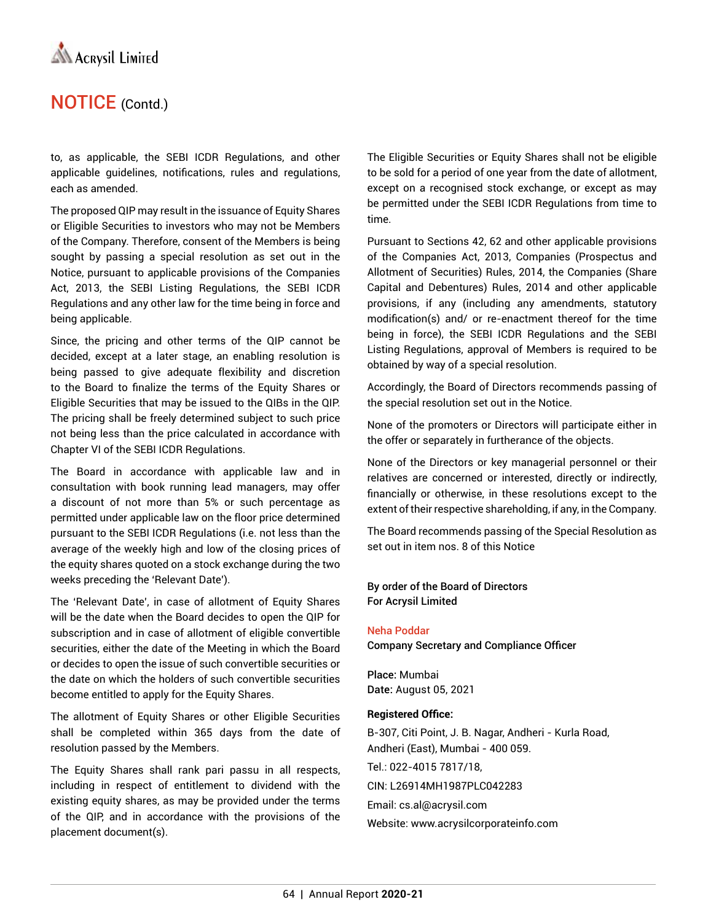

to, as applicable, the SEBI ICDR Regulations, and other applicable guidelines, notifications, rules and regulations, each as amended.

The proposed QIP may result in the issuance of Equity Shares or Eligible Securities to investors who may not be Members of the Company. Therefore, consent of the Members is being sought by passing a special resolution as set out in the Notice, pursuant to applicable provisions of the Companies Act, 2013, the SEBI Listing Regulations, the SEBI ICDR Regulations and any other law for the time being in force and being applicable.

Since, the pricing and other terms of the QIP cannot be decided, except at a later stage, an enabling resolution is being passed to give adequate flexibility and discretion to the Board to finalize the terms of the Equity Shares or Eligible Securities that may be issued to the QIBs in the QIP. The pricing shall be freely determined subject to such price not being less than the price calculated in accordance with Chapter VI of the SEBI ICDR Regulations.

The Board in accordance with applicable law and in consultation with book running lead managers, may offer a discount of not more than 5% or such percentage as permitted under applicable law on the floor price determined pursuant to the SEBI ICDR Regulations (i.e. not less than the average of the weekly high and low of the closing prices of the equity shares quoted on a stock exchange during the two weeks preceding the 'Relevant Date').

The 'Relevant Date', in case of allotment of Equity Shares will be the date when the Board decides to open the QIP for subscription and in case of allotment of eligible convertible securities, either the date of the Meeting in which the Board or decides to open the issue of such convertible securities or the date on which the holders of such convertible securities become entitled to apply for the Equity Shares.

The allotment of Equity Shares or other Eligible Securities shall be completed within 365 days from the date of resolution passed by the Members.

The Equity Shares shall rank pari passu in all respects, including in respect of entitlement to dividend with the existing equity shares, as may be provided under the terms of the QIP, and in accordance with the provisions of the placement document(s).

The Eligible Securities or Equity Shares shall not be eligible to be sold for a period of one year from the date of allotment, except on a recognised stock exchange, or except as may be permitted under the SEBI ICDR Regulations from time to time.

Pursuant to Sections 42, 62 and other applicable provisions of the Companies Act, 2013, Companies (Prospectus and Allotment of Securities) Rules, 2014, the Companies (Share Capital and Debentures) Rules, 2014 and other applicable provisions, if any (including any amendments, statutory modification(s) and/ or re-enactment thereof for the time being in force), the SEBI ICDR Regulations and the SEBI Listing Regulations, approval of Members is required to be obtained by way of a special resolution.

Accordingly, the Board of Directors recommends passing of the special resolution set out in the Notice.

None of the promoters or Directors will participate either in the offer or separately in furtherance of the objects.

None of the Directors or key managerial personnel or their relatives are concerned or interested, directly or indirectly, financially or otherwise, in these resolutions except to the extent of their respective shareholding, if any, in the Company.

The Board recommends passing of the Special Resolution as set out in item nos. 8 of this Notice

By order of the Board of Directors For Acrysil Limited

#### Neha Poddar

Company Secretary and Compliance Officer

Place: Mumbai Date: August 05, 2021

#### **Registered Office:**

B-307, Citi Point, J. B. Nagar, Andheri - Kurla Road, Andheri (East), Mumbai - 400 059. Tel.: 022-4015 7817/18, CIN: L26914MH1987PLC042283 Email: cs.al@acrysil.com Website: www.acrysilcorporateinfo.com